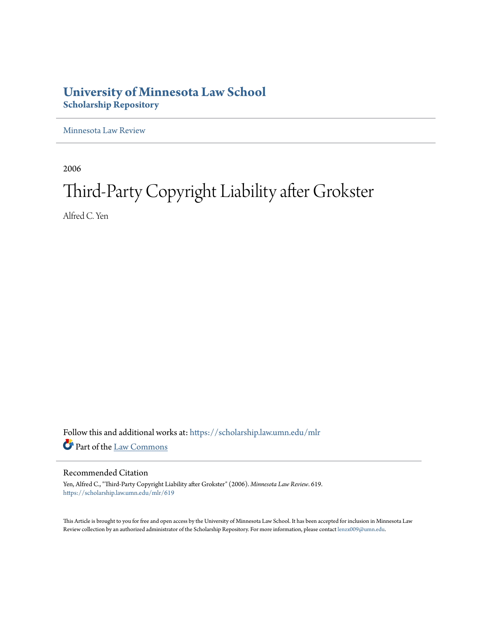# **University of Minnesota Law School [Scholarship Repository](https://scholarship.law.umn.edu?utm_source=scholarship.law.umn.edu%2Fmlr%2F619&utm_medium=PDF&utm_campaign=PDFCoverPages)**

[Minnesota Law Review](https://scholarship.law.umn.edu/mlr?utm_source=scholarship.law.umn.edu%2Fmlr%2F619&utm_medium=PDF&utm_campaign=PDFCoverPages)

2006

# Third-Party Copyright Liability after Grokster

Alfred C. Yen

Follow this and additional works at: [https://scholarship.law.umn.edu/mlr](https://scholarship.law.umn.edu/mlr?utm_source=scholarship.law.umn.edu%2Fmlr%2F619&utm_medium=PDF&utm_campaign=PDFCoverPages) Part of the [Law Commons](http://network.bepress.com/hgg/discipline/578?utm_source=scholarship.law.umn.edu%2Fmlr%2F619&utm_medium=PDF&utm_campaign=PDFCoverPages)

### Recommended Citation

Yen, Alfred C., "Third-Party Copyright Liability after Grokster" (2006). *Minnesota Law Review*. 619. [https://scholarship.law.umn.edu/mlr/619](https://scholarship.law.umn.edu/mlr/619?utm_source=scholarship.law.umn.edu%2Fmlr%2F619&utm_medium=PDF&utm_campaign=PDFCoverPages)

This Article is brought to you for free and open access by the University of Minnesota Law School. It has been accepted for inclusion in Minnesota Law Review collection by an authorized administrator of the Scholarship Repository. For more information, please contact [lenzx009@umn.edu.](mailto:lenzx009@umn.edu)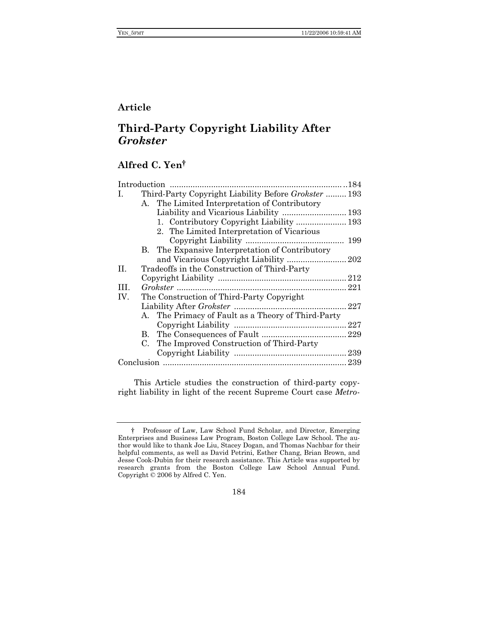## **Article**

# **Third-Party Copyright Liability After**  *Grokster*

# **Alfred C. Yen†**

| L.  | Third-Party Copyright Liability Before Grokster  193 |
|-----|------------------------------------------------------|
|     | A. The Limited Interpretation of Contributory        |
|     |                                                      |
|     |                                                      |
|     | 2. The Limited Interpretation of Vicarious           |
|     |                                                      |
|     | B. The Expansive Interpretation of Contributory      |
|     |                                                      |
| II. | Tradeoffs in the Construction of Third-Party         |
|     |                                                      |
| TH. |                                                      |
| IV. | The Construction of Third-Party Copyright            |
|     |                                                      |
|     | A. The Primacy of Fault as a Theory of Third-Party   |
|     |                                                      |
|     |                                                      |
|     | C. The Improved Construction of Third-Party          |
|     |                                                      |
|     |                                                      |
|     |                                                      |

This Article studies the construction of third-party copyright liability in light of the recent Supreme Court case *Metro-*

184

<sup>†</sup> Professor of Law, Law School Fund Scholar, and Director, Emerging Enterprises and Business Law Program, Boston College Law School. The author would like to thank Joe Liu, Stacey Dogan, and Thomas Nachbar for their helpful comments, as well as David Petrini, Esther Chang, Brian Brown, and Jesse Cook-Dubin for their research assistance. This Article was supported by research grants from the Boston College Law School Annual Fund. Copyright © 2006 by Alfred C. Yen.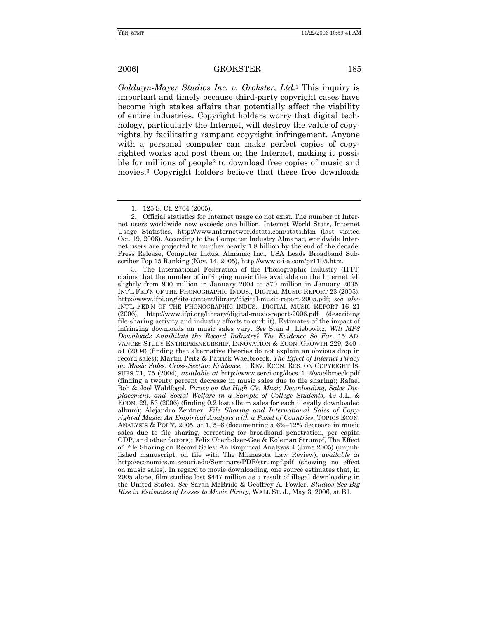*Goldwyn-Mayer Studios Inc. v. Grokster, Ltd.*1 This inquiry is important and timely because third-party copyright cases have become high stakes affairs that potentially affect the viability of entire industries. Copyright holders worry that digital technology, particularly the Internet, will destroy the value of copyrights by facilitating rampant copyright infringement. Anyone with a personal computer can make perfect copies of copyrighted works and post them on the Internet, making it possible for millions of people2 to download free copies of music and movies.3 Copyright holders believe that these free downloads

 3. The International Federation of the Phonographic Industry (IFPI) claims that the number of infringing music files available on the Internet fell slightly from 900 million in January 2004 to 870 million in January 2005. INT'L FED'N OF THE PHONOGRAPHIC INDUS., DIGITAL MUSIC REPORT 23 (2005), http://www.ifpi.org/site-content/library/digital-music-report-2005.pdf; *see also*  INT'L FED'N OF THE PHONOGRAPHIC INDUS., DIGITAL MUSIC REPORT 16–21 (2006), http://www.ifpi.org/library/digital-music-report-2006.pdf (describing file-sharing activity and industry efforts to curb it). Estimates of the impact of infringing downloads on music sales vary. *See* Stan J. Liebowitz, *Will MP3 Downloads Annihilate the Record Industry? The Evidence So Far*, 15 AD-VANCES STUDY ENTREPRENEURSHIP, INNOVATION & ECON. GROWTH 229, 240– 51 (2004) (finding that alternative theories do not explain an obvious drop in record sales); Martin Peitz & Patrick Waelbroeck, *The Effect of Internet Piracy on Music Sales: Cross-Section Evidence*, 1 REV. ECON. RES. ON COPYRIGHT IS-SUES 71, 75 (2004), *available at* http://www.serci.org/docs\_1\_2/waelbroeck.pdf (finding a twenty percent decrease in music sales due to file sharing); Rafael Rob & Joel Waldfogel, *Piracy on the High C's: Music Downloading, Sales Displacement, and Social Welfare in a Sample of College Students*, 49 J.L. & ECON. 29, 53 (2006) (finding 0.2 lost album sales for each illegally downloaded album); Alejandro Zentner, *File Sharing and International Sales of Copyrighted Music: An Empirical Analysis with a Panel of Countries*, TOPICS ECON. ANALYSIS & POL'Y, 2005, at 1, 5–6 (documenting a 6%–12% decrease in music sales due to file sharing, correcting for broadband penetration, per capita GDP, and other factors); Felix Oberholzer-Gee & Koleman Strumpf, The Effect of File Sharing on Record Sales: An Empirical Analysis 4 (June 2005) (unpublished manuscript, on file with The Minnesota Law Review), *available at* http://economics.missouri.edu/Seminars/PDF/strumpf.pdf (showing no effect on music sales). In regard to movie downloading, one source estimates that, in 2005 alone, film studios lost \$447 million as a result of illegal downloading in the United States. *See* Sarah McBride & Geoffrey A. Fowler, *Studios See Big Rise in Estimates of Losses to Movie Piracy*, WALL ST. J., May 3, 2006, at B1.

 <sup>1. 125</sup> S. Ct. 2764 (2005).

 <sup>2.</sup> Official statistics for Internet usage do not exist. The number of Internet users worldwide now exceeds one billion. Internet World Stats, Internet Usage Statistics, http://www.internetworldstats.com/stats.htm (last visited Oct. 19, 2006). According to the Computer Industry Almanac, worldwide Internet users are projected to number nearly 1.8 billion by the end of the decade. Press Release, Computer Indus. Almanac Inc., USA Leads Broadband Subscriber Top 15 Ranking (Nov. 14, 2005), http://www.c-i-a.com/pr1105.htm.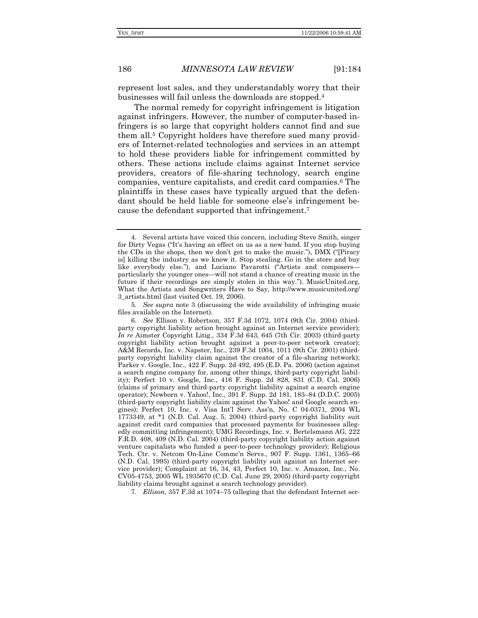represent lost sales, and they understandably worry that their businesses will fail unless the downloads are stopped.4

The normal remedy for copyright infringement is litigation against infringers. However, the number of computer-based infringers is so large that copyright holders cannot find and sue them all.5 Copyright holders have therefore sued many providers of Internet-related technologies and services in an attempt to hold these providers liable for infringement committed by others. These actions include claims against Internet service providers, creators of file-sharing technology, search engine companies, venture capitalists, and credit card companies.6 The plaintiffs in these cases have typically argued that the defendant should be held liable for someone else's infringement because the defendant supported that infringement.7

5*. See supra* note 3 (discussing the wide availability of infringing music files available on the Internet).

7*. Ellison*, 357 F.3d at 1074–75 (alleging that the defendant Internet ser-

 <sup>4.</sup> Several artists have voiced this concern, including Steve Smith, singer for Dirty Vegas ("It's having an effect on us as a new band. If you stop buying the CDs in the shops, then we don't get to make the music."), DMX ("[Piracy is] killing the industry as we know it. Stop stealing. Go in the store and buy like everybody else."), and Luciano Pavarotti ("Artists and composers particularly the younger ones—will not stand a chance of creating music in the future if their recordings are simply stolen in this way."). MusicUnited.org, What the Artists and Songwriters Have to Say, http://www.musicunited.org/ 3\_artists.html (last visited Oct. 19, 2006).

 <sup>6.</sup> *See* Ellison v. Robertson, 357 F.3d 1072, 1074 (9th Cir. 2004) (thirdparty copyright liability action brought against an Internet service provider); *In re* Aimster Copyright Litig., 334 F.3d 643, 645 (7th Cir. 2003) (third-party copyright liability action brought against a peer-to-peer network creator); A&M Records, Inc. v. Napster, Inc., 239 F.3d 1004, 1011 (9th Cir. 2001) (thirdparty copyright liability claim against the creator of a file-sharing network); Parker v. Google, Inc., 422 F. Supp. 2d 492, 495 (E.D. Pa. 2006) (action against a search engine company for, among other things, third-party copyright liability); Perfect 10 v. Google, Inc., 416 F. Supp. 2d 828, 831 (C.D. Cal. 2006) (claims of primary and third-party copyright liability against a search engine operator); Newborn v. Yahoo!, Inc., 391 F. Supp. 2d 181, 183–84 (D.D.C. 2005) (third-party copyright liability claim against the Yahoo! and Google search engines); Perfect 10, Inc. v. Visa Int'l Serv. Ass'n, No. C 04-0371, 2004 WL 1773349, at \*1 (N.D. Cal. Aug. 5, 2004) (third-party copyright liability suit against credit card companies that processed payments for businesses allegedly committing infringement); UMG Recordings, Inc. v. Bertelsmann AG, 222 F.R.D. 408, 409 (N.D. Cal. 2004) (third-party copyright liability action against venture capitalists who funded a peer-to-peer technology provider); Religious Tech. Ctr. v. Netcom On-Line Commc'n Servs., 907 F. Supp. 1361, 1365–66 (N.D. Cal. 1995) (third-party copyright liability suit against an Internet service provider); Complaint at 16, 34, 43, Perfect 10, Inc. v. Amazon, Inc., No. CV05-4753, 2005 WL 1935670 (C.D. Cal. June 29, 2005) (third-party copyright liability claims brought against a search technology provider).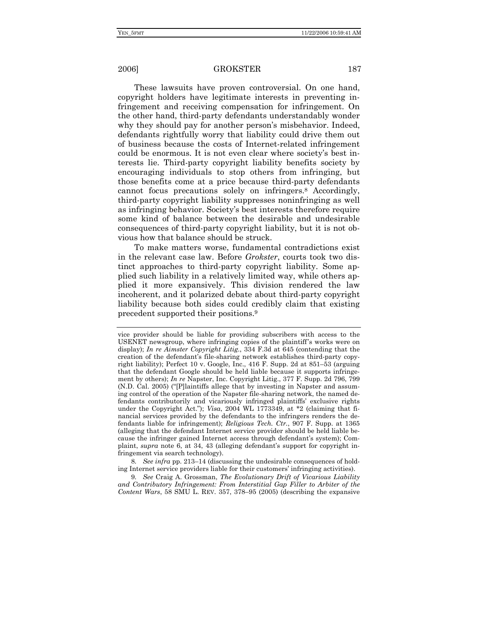These lawsuits have proven controversial. On one hand, copyright holders have legitimate interests in preventing infringement and receiving compensation for infringement. On the other hand, third-party defendants understandably wonder why they should pay for another person's misbehavior. Indeed, defendants rightfully worry that liability could drive them out of business because the costs of Internet-related infringement could be enormous. It is not even clear where society's best interests lie. Third-party copyright liability benefits society by encouraging individuals to stop others from infringing, but those benefits come at a price because third-party defendants cannot focus precautions solely on infringers.8 Accordingly, third-party copyright liability suppresses noninfringing as well as infringing behavior. Society's best interests therefore require some kind of balance between the desirable and undesirable consequences of third-party copyright liability, but it is not obvious how that balance should be struck.

To make matters worse, fundamental contradictions exist in the relevant case law. Before *Grokster*, courts took two distinct approaches to third-party copyright liability. Some applied such liability in a relatively limited way, while others applied it more expansively. This division rendered the law incoherent, and it polarized debate about third-party copyright liability because both sides could credibly claim that existing precedent supported their positions.9

8*. See infra* pp. 213–14 (discussing the undesirable consequences of holding Internet service providers liable for their customers' infringing activities).

9*. See* Craig A. Grossman, *The Evolutionary Drift of Vicarious Liability and Contributory Infringement: From Interstitial Gap Filler to Arbiter of the Content Wars*, 58 SMU L. REV. 357, 378–95 (2005) (describing the expansive

vice provider should be liable for providing subscribers with access to the USENET newsgroup, where infringing copies of the plaintiff's works were on display); *In re Aimster Copyright Litig.*, 334 F.3d at 645 (contending that the creation of the defendant's file-sharing network establishes third-party copyright liability); Perfect 10 v. Google, Inc., 416 F. Supp. 2d at 851–53 (arguing that the defendant Google should be held liable because it supports infringement by others); *In re* Napster, Inc. Copyright Litig., 377 F. Supp. 2d 796, 799 (N.D. Cal. 2005) ("[P]laintiffs allege that by investing in Napster and assuming control of the operation of the Napster file-sharing network, the named defendants contributorily and vicariously infringed plaintiffs' exclusive rights under the Copyright Act."); *Visa*, 2004 WL 1773349, at \*2 (claiming that financial services provided by the defendants to the infringers renders the defendants liable for infringement); *Religious Tech. Ctr.*, 907 F. Supp. at 1365 (alleging that the defendant Internet service provider should be held liable because the infringer gained Internet access through defendant's system); Complaint, *supra* note 6, at 34, 43 (alleging defendant's support for copyright infringement via search technology).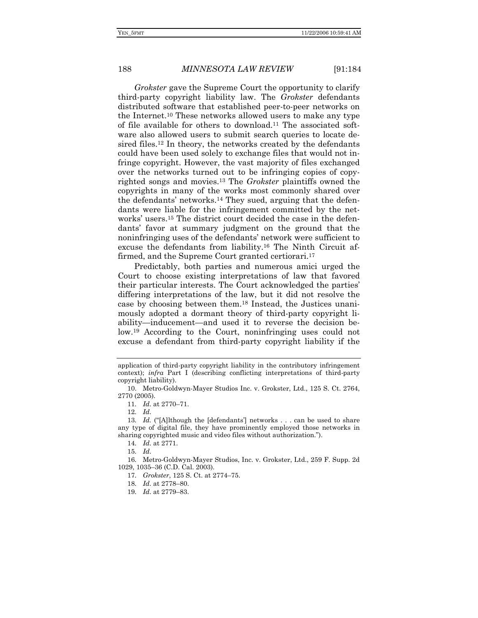*Grokster* gave the Supreme Court the opportunity to clarify third-party copyright liability law. The *Grokster* defendants distributed software that established peer-to-peer networks on the Internet.10 These networks allowed users to make any type of file available for others to download.11 The associated software also allowed users to submit search queries to locate desired files.12 In theory, the networks created by the defendants could have been used solely to exchange files that would not infringe copyright. However, the vast majority of files exchanged over the networks turned out to be infringing copies of copyrighted songs and movies.13 The *Grokster* plaintiffs owned the copyrights in many of the works most commonly shared over the defendants' networks.14 They sued, arguing that the defendants were liable for the infringement committed by the networks' users.15 The district court decided the case in the defendants' favor at summary judgment on the ground that the noninfringing uses of the defendants' network were sufficient to excuse the defendants from liability.16 The Ninth Circuit affirmed, and the Supreme Court granted certiorari.<sup>17</sup>

Predictably, both parties and numerous amici urged the Court to choose existing interpretations of law that favored their particular interests. The Court acknowledged the parties' differing interpretations of the law, but it did not resolve the case by choosing between them.18 Instead, the Justices unanimously adopted a dormant theory of third-party copyright liability—inducement—and used it to reverse the decision below.19 According to the Court, noninfringing uses could not excuse a defendant from third-party copyright liability if the

14*. Id.* at 2771.

16*.* Metro-Goldwyn-Mayer Studios, Inc. v. Grokster, Ltd., 259 F. Supp. 2d 1029, 1035–36 (C.D. Cal. 2003).

17*. Grokster*, 125 S. Ct. at 2774–75.

application of third-party copyright liability in the contributory infringement context); *infra* Part I (describing conflicting interpretations of third-party copyright liability).

 <sup>10.</sup> Metro-Goldwyn-Mayer Studios Inc. v. Grokster, Ltd., 125 S. Ct. 2764, 2770 (2005).

<sup>11</sup>*. Id.* at 2770–71.

<sup>12</sup>*. Id.*

<sup>13</sup>*. Id.* ("[A]lthough the [defendants'] networks . . . can be used to share any type of digital file, they have prominently employed those networks in sharing copyrighted music and video files without authorization.").

<sup>15</sup>*. Id.*

<sup>18</sup>*. Id.* at 2778–80.

<sup>19</sup>*. Id.* at 2779–83.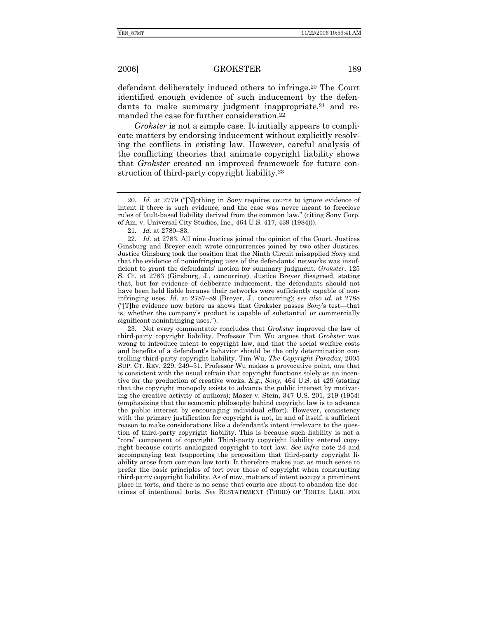defendant deliberately induced others to infringe.20 The Court identified enough evidence of such inducement by the defendants to make summary judgment inappropriate,<sup>21</sup> and remanded the case for further consideration.22

*Grokster* is not a simple case. It initially appears to complicate matters by endorsing inducement without explicitly resolving the conflicts in existing law. However, careful analysis of the conflicting theories that animate copyright liability shows that *Grokster* created an improved framework for future construction of third-party copyright liability.23

21*. Id.* at 2780–83.

 23. Not every commentator concludes that *Grokster* improved the law of third-party copyright liability. Professor Tim Wu argues that *Grokster* was wrong to introduce intent to copyright law, and that the social welfare costs and benefits of a defendant's behavior should be the only determination controlling third-party copyright liability. Tim Wu, *The Copyright Paradox*, 2005 SUP. CT. REV. 229, 249–51. Professor Wu makes a provocative point, one that is consistent with the usual refrain that copyright functions solely as an incentive for the production of creative works. *E.g.*, *Sony*, 464 U.S. at 429 (stating that the copyright monopoly exists to advance the public interest by motivating the creative activity of authors); Mazer v. Stein, 347 U.S. 201, 219 (1954) (emphasizing that the economic philosophy behind copyright law is to advance the public interest by encouraging individual effort). However, consistency with the primary justification for copyright is not, in and of itself, a sufficient reason to make considerations like a defendant's intent irrelevant to the question of third-party copyright liability. This is because such liability is not a "core" component of copyright. Third-party copyright liability entered copyright because courts analogized copyright to tort law. *See infra* note 24 and accompanying text (supporting the proposition that third-party copyright liability arose from common law tort). It therefore makes just as much sense to prefer the basic principles of tort over those of copyright when constructing third-party copyright liability. As of now, matters of intent occupy a prominent place in torts, and there is no sense that courts are about to abandon the doctrines of intentional torts. *See* RESTATEMENT (THIRD) OF TORTS: LIAB. FOR

<sup>20</sup>*. Id.* at 2779 ("[N]othing in *Sony* requires courts to ignore evidence of intent if there is such evidence, and the case was never meant to foreclose rules of fault-based liability derived from the common law." (citing Sony Corp. of Am. v. Universal City Studios, Inc., 464 U.S. 417, 439 (1984))).

<sup>22</sup>*. Id.* at 2783. All nine Justices joined the opinion of the Court. Justices Ginsburg and Breyer each wrote concurrences joined by two other Justices. Justice Ginsburg took the position that the Ninth Circuit misapplied *Sony* and that the evidence of noninfringing uses of the defendants' networks was insufficient to grant the defendants' motion for summary judgment. *Grokster*, 125 S. Ct. at 2783 (Ginsburg, J., concurring). Justice Breyer disagreed, stating that, but for evidence of deliberate inducement, the defendants should not have been held liable because their networks were sufficiently capable of noninfringing uses. *Id.* at 2787–89 (Breyer, J., concurring); *see also id.* at 2788 ("[T]he evidence now before us shows that Grokster passes *Sony*'s test—that is, whether the company's product is capable of substantial or commercially significant noninfringing uses.").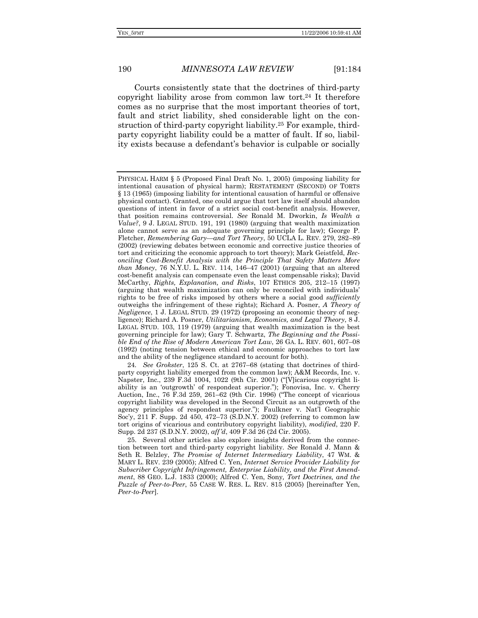Courts consistently state that the doctrines of third-party copyright liability arose from common law tort.24 It therefore comes as no surprise that the most important theories of tort, fault and strict liability, shed considerable light on the construction of third-party copyright liability.25 For example, thirdparty copyright liability could be a matter of fault. If so, liability exists because a defendant's behavior is culpable or socially

24*. See Grokster*, 125 S. Ct. at 2767–68 (stating that doctrines of thirdparty copyright liability emerged from the common law); A&M Records, Inc. v. Napster, Inc., 239 F.3d 1004, 1022 (9th Cir. 2001) ("[V]icarious copyright liability is an 'outgrowth' of respondeat superior."); Fonovisa, Inc. v. Cherry Auction, Inc., 76 F.3d 259, 261–62 (9th Cir. 1996) ("The concept of vicarious copyright liability was developed in the Second Circuit as an outgrowth of the agency principles of respondeat superior."); Faulkner v. Nat'l Geographic Soc'y, 211 F. Supp. 2d 450, 472–73 (S.D.N.Y. 2002) (referring to common law tort origins of vicarious and contributory copyright liability), *modified*, 220 F. Supp. 2d 237 (S.D.N.Y. 2002), *aff'd*, 409 F.3d 26 (2d Cir. 2005).

 25. Several other articles also explore insights derived from the connection between tort and third-party copyright liability*. See* Ronald J. Mann & Seth R. Belzley, *The Promise of Internet Intermediary Liability*, 47 WM. & MARY L. REV. 239 (2005); Alfred C. Yen, *Internet Service Provider Liability for Subscriber Copyright Infringement, Enterprise Liability, and the First Amendment*, 88 GEO. L.J. 1833 (2000); Alfred C. Yen, Sony*, Tort Doctrines, and the Puzzle of Peer-to-Peer*, 55 CASE W. RES. L. REV. 815 (2005) [hereinafter Yen, *Peer-to-Peer*].

PHYSICAL HARM § 5 (Proposed Final Draft No. 1, 2005) (imposing liability for intentional causation of physical harm); RESTATEMENT (SECOND) OF TORTS § 13 (1965) (imposing liability for intentional causation of harmful or offensive physical contact). Granted, one could argue that tort law itself should abandon questions of intent in favor of a strict social cost-benefit analysis. However, that position remains controversial. *See* Ronald M. Dworkin, *Is Wealth a Value?*, 9 J. LEGAL STUD. 191, 191 (1980) (arguing that wealth maximization alone cannot serve as an adequate governing principle for law); George P. Fletcher, *Remembering Gary—and Tort Theory*, 50 UCLA L. REV. 279, 282–89 (2002) (reviewing debates between economic and corrective justice theories of tort and criticizing the economic approach to tort theory); Mark Geistfeld, *Reconciling Cost-Benefit Analysis with the Principle That Safety Matters More than Money*, 76 N.Y.U. L. REV. 114, 146–47 (2001) (arguing that an altered cost-benefit analysis can compensate even the least compensable risks); David McCarthy, *Rights, Explanation, and Risks*, 107 ETHICS 205, 212–15 (1997) (arguing that wealth maximization can only be reconciled with individuals' rights to be free of risks imposed by others where a social good *sufficiently* outweighs the infringement of these rights); Richard A. Posner, *A Theory of Negligence*, 1 J. LEGAL STUD. 29 (1972) (proposing an economic theory of negligence); Richard A. Posner, *Utilitarianism, Economics, and Legal Theory*, 8 J. LEGAL STUD. 103, 119 (1979) (arguing that wealth maximization is the best governing principle for law); Gary T. Schwartz, *The Beginning and the Possible End of the Rise of Modern American Tort Law*, 26 GA. L. REV. 601, 607–08 (1992) (noting tension between ethical and economic approaches to tort law and the ability of the negligence standard to account for both).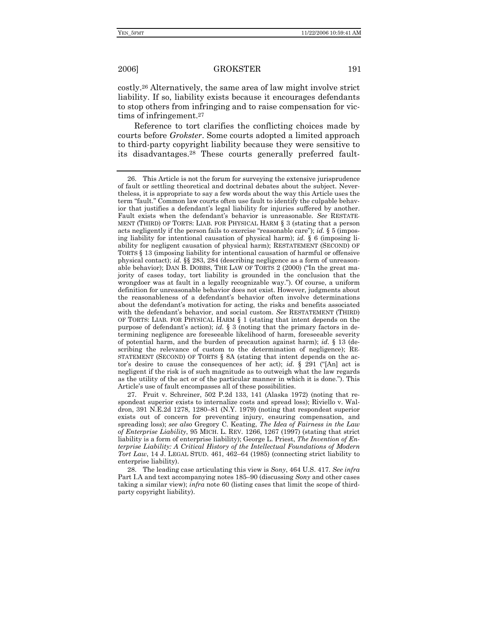costly.26 Alternatively, the same area of law might involve strict liability. If so, liability exists because it encourages defendants to stop others from infringing and to raise compensation for victims of infringement.27

Reference to tort clarifies the conflicting choices made by courts before *Grokster*. Some courts adopted a limited approach to third-party copyright liability because they were sensitive to its disadvantages.28 These courts generally preferred fault-

 27. Fruit v. Schreiner, 502 P.2d 133, 141 (Alaska 1972) (noting that respondeat superior exists to internalize costs and spread loss); Riviello v. Waldron, 391 N.E.2d 1278, 1280–81 (N.Y. 1979) (noting that respondeat superior exists out of concern for preventing injury, ensuring compensation, and spreading loss); *see also* Gregory C. Keating, *The Idea of Fairness in the Law of Enterprise Liability*, 95 MICH. L. REV. 1266, 1267 (1997) (stating that strict liability is a form of enterprise liability); George L. Priest, *The Invention of Enterprise Liability: A Critical History of the Intellectual Foundations of Modern Tort Law*, 14 J. LEGAL STUD. 461, 462–64 (1985) (connecting strict liability to enterprise liability).

 28. The leading case articulating this view is *Sony*, 464 U.S. 417. *See infra* Part I.A and text accompanying notes 185–90 (discussing *Sony* and other cases taking a similar view); *infra* note 60 (listing cases that limit the scope of thirdparty copyright liability).

 <sup>26.</sup> This Article is not the forum for surveying the extensive jurisprudence of fault or settling theoretical and doctrinal debates about the subject. Nevertheless, it is appropriate to say a few words about the way this Article uses the term "fault." Common law courts often use fault to identify the culpable behavior that justifies a defendant's legal liability for injuries suffered by another. Fault exists when the defendant's behavior is unreasonable. *See* RESTATE-MENT (THIRD) OF TORTS: LIAB. FOR PHYSICAL HARM § 3 (stating that a person acts negligently if the person fails to exercise "reasonable care"); *id.* § 5 (imposing liability for intentional causation of physical harm); *id.* § 6 (imposing liability for negligent causation of physical harm); RESTATEMENT (SECOND) OF TORTS § 13 (imposing liability for intentional causation of harmful or offensive physical contact); *id.* §§ 283, 284 (describing negligence as a form of unreasonable behavior); DAN B. DOBBS, THE LAW OF TORTS 2 (2000) ("In the great majority of cases today, tort liability is grounded in the conclusion that the wrongdoer was at fault in a legally recognizable way."). Of course, a uniform definition for unreasonable behavior does not exist. However, judgments about the reasonableness of a defendant's behavior often involve determinations about the defendant's motivation for acting, the risks and benefits associated with the defendant's behavior, and social custom. *See* RESTATEMENT (THIRD) OF TORTS: LIAB. FOR PHYSICAL HARM § 1 (stating that intent depends on the purpose of defendant's action); *id.* § 3 (noting that the primary factors in determining negligence are foreseeable likelihood of harm, foreseeable severity of potential harm, and the burden of precaution against harm); *id.* § 13 (describing the relevance of custom to the determination of negligence); RE-STATEMENT (SECOND) OF TORTS § 8A (stating that intent depends on the actor's desire to cause the consequences of her act); *id.* § 291 ("[An] act is negligent if the risk is of such magnitude as to outweigh what the law regards as the utility of the act or of the particular manner in which it is done."). This Article's use of fault encompasses all of these possibilities.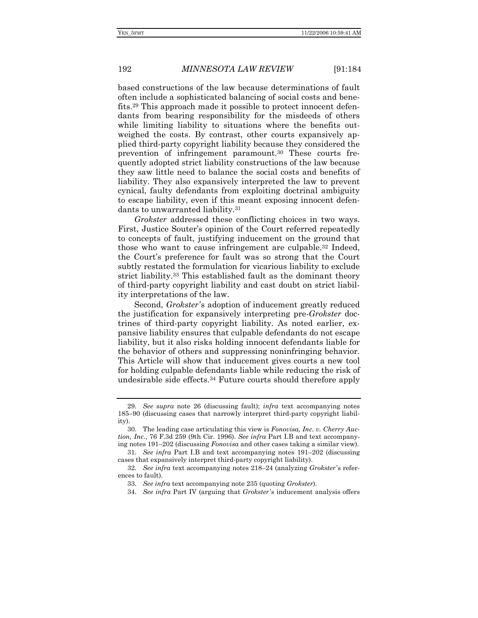based constructions of the law because determinations of fault often include a sophisticated balancing of social costs and benefits.29 This approach made it possible to protect innocent defendants from bearing responsibility for the misdeeds of others while limiting liability to situations where the benefits outweighed the costs. By contrast, other courts expansively applied third-party copyright liability because they considered the prevention of infringement paramount.30 These courts frequently adopted strict liability constructions of the law because they saw little need to balance the social costs and benefits of liability. They also expansively interpreted the law to prevent cynical, faulty defendants from exploiting doctrinal ambiguity to escape liability, even if this meant exposing innocent defendants to unwarranted liability.31

*Grokster* addressed these conflicting choices in two ways. First, Justice Souter's opinion of the Court referred repeatedly to concepts of fault, justifying inducement on the ground that those who want to cause infringement are culpable.32 Indeed, the Court's preference for fault was so strong that the Court subtly restated the formulation for vicarious liability to exclude strict liability.33 This established fault as the dominant theory of third-party copyright liability and cast doubt on strict liability interpretations of the law.

Second, *Grokster*'s adoption of inducement greatly reduced the justification for expansively interpreting pre-*Grokster* doctrines of third-party copyright liability. As noted earlier, expansive liability ensures that culpable defendants do not escape liability, but it also risks holding innocent defendants liable for the behavior of others and suppressing noninfringing behavior. This Article will show that inducement gives courts a new tool for holding culpable defendants liable while reducing the risk of undesirable side effects.34 Future courts should therefore apply

<sup>29</sup>*. See supra* note 26 (discussing fault); *infra* text accompanying notes 185–90 (discussing cases that narrowly interpret third-party copyright liability).

 <sup>30.</sup> The leading case articulating this view is *Fonovisa, Inc. v. Cherry Auction, Inc.*, 76 F.3d 259 (9th Cir. 1996). *See infra* Part I.B and text accompanying notes 191–202 (discussing *Fonovisa* and other cases taking a similar view).

<sup>31</sup>*. See infra* Part I.B and text accompanying notes 191–202 (discussing cases that expansively interpret third-party copyright liability).

<sup>32</sup>*. See infra* text accompanying notes 218–24 (analyzing *Grokster* 's references to fault).

<sup>33</sup>*. See infra* text accompanying note 235 (quoting *Grokster*).

<sup>34</sup>*. See infra* Part IV (arguing that *Grokster* 's inducement analysis offers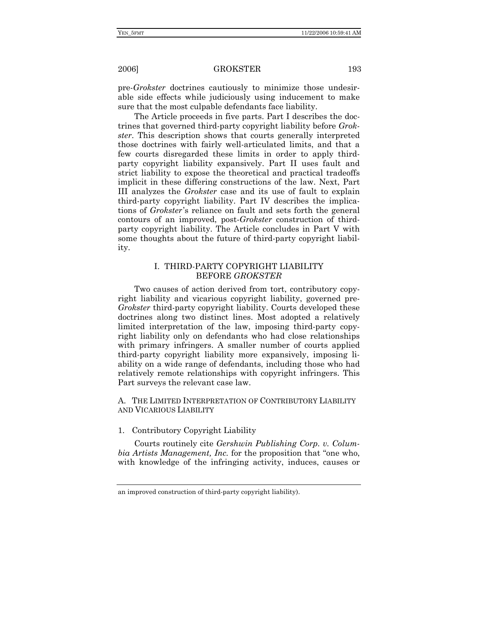pre-*Grokster* doctrines cautiously to minimize those undesirable side effects while judiciously using inducement to make sure that the most culpable defendants face liability.

The Article proceeds in five parts. Part I describes the doctrines that governed third-party copyright liability before *Grokster*. This description shows that courts generally interpreted those doctrines with fairly well-articulated limits, and that a few courts disregarded these limits in order to apply thirdparty copyright liability expansively. Part II uses fault and strict liability to expose the theoretical and practical tradeoffs implicit in these differing constructions of the law. Next, Part III analyzes the *Grokster* case and its use of fault to explain third-party copyright liability. Part IV describes the implications of *Grokster*'s reliance on fault and sets forth the general contours of an improved, post-*Grokster* construction of thirdparty copyright liability. The Article concludes in Part V with some thoughts about the future of third-party copyright liability.

### I. THIRD-PARTY COPYRIGHT LIABILITY BEFORE *GROKSTER*

Two causes of action derived from tort, contributory copyright liability and vicarious copyright liability, governed pre-*Grokster* third-party copyright liability. Courts developed these doctrines along two distinct lines. Most adopted a relatively limited interpretation of the law, imposing third-party copyright liability only on defendants who had close relationships with primary infringers. A smaller number of courts applied third-party copyright liability more expansively, imposing liability on a wide range of defendants, including those who had relatively remote relationships with copyright infringers. This Part surveys the relevant case law.

A. THE LIMITED INTERPRETATION OF CONTRIBUTORY LIABILITY AND VICARIOUS LIABILITY

### 1. Contributory Copyright Liability

Courts routinely cite *Gershwin Publishing Corp. v. Columbia Artists Management, Inc.* for the proposition that "one who, with knowledge of the infringing activity, induces, causes or

an improved construction of third-party copyright liability).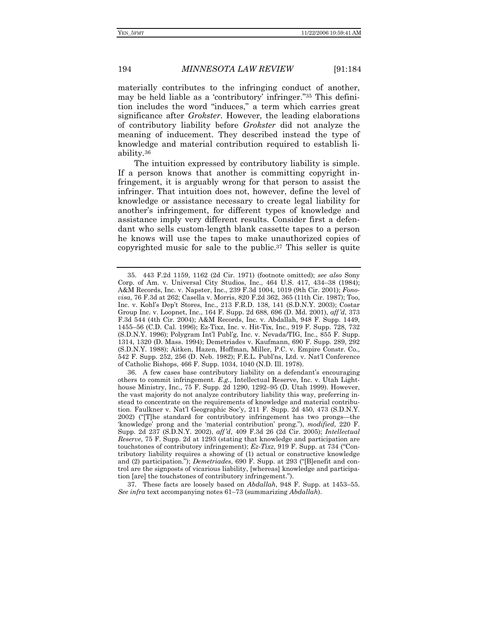materially contributes to the infringing conduct of another, may be held liable as a 'contributory' infringer."35 This definition includes the word "induces," a term which carries great significance after *Grokster*. However, the leading elaborations of contributory liability before *Grokster* did not analyze the meaning of inducement. They described instead the type of knowledge and material contribution required to establish liability.36

The intuition expressed by contributory liability is simple. If a person knows that another is committing copyright infringement, it is arguably wrong for that person to assist the infringer. That intuition does not, however, define the level of knowledge or assistance necessary to create legal liability for another's infringement, for different types of knowledge and assistance imply very different results. Consider first a defendant who sells custom-length blank cassette tapes to a person he knows will use the tapes to make unauthorized copies of copyrighted music for sale to the public.37 This seller is quite

 37. These facts are loosely based on *Abdallah*, 948 F. Supp. at 1453–55. *See infra* text accompanying notes 61–73 (summarizing *Abdallah*).

 <sup>35. 443</sup> F.2d 1159, 1162 (2d Cir. 1971) (footnote omitted); *see also* Sony Corp. of Am. v. Universal City Studios, Inc., 464 U.S. 417, 434–38 (1984); A&M Records, Inc. v. Napster, Inc., 239 F.3d 1004, 1019 (9th Cir. 2001); *Fonovisa*, 76 F.3d at 262; Casella v. Morris, 820 F.2d 362, 365 (11th Cir. 1987); Too, Inc. v. Kohl's Dep't Stores, Inc., 213 F.R.D. 138, 141 (S.D.N.Y. 2003); Costar Group Inc. v. Loopnet, Inc., 164 F. Supp. 2d 688, 696 (D. Md. 2001), *aff'd*, 373 F.3d 544 (4th Cir. 2004); A&M Records, Inc. v. Abdallah, 948 F. Supp. 1449, 1455–56 (C.D. Cal. 1996); Ez-Tixz, Inc. v. Hit-Tix, Inc., 919 F. Supp. 728, 732 (S.D.N.Y. 1996); Polygram Int'l Publ'g, Inc. v. Nevada/TIG, Inc., 855 F. Supp. 1314, 1320 (D. Mass. 1994); Demetriades v. Kaufmann, 690 F. Supp. 289, 292 (S.D.N.Y. 1988); Aitken, Hazen, Hoffman, Miller, P.C. v. Empire Constr. Co., 542 F. Supp. 252, 256 (D. Neb. 1982); F.E.L. Publ'ns, Ltd. v. Nat'l Conference of Catholic Bishops, 466 F. Supp. 1034, 1040 (N.D. Ill. 1978).

 <sup>36.</sup> A few cases base contributory liability on a defendant's encouraging others to commit infringement. *E.g.*, Intellectual Reserve, Inc. v. Utah Lighthouse Ministry, Inc., 75 F. Supp. 2d 1290, 1292–95 (D. Utah 1999). However, the vast majority do not analyze contributory liability this way, preferring instead to concentrate on the requirements of knowledge and material contribution. Faulkner v. Nat'l Geographic Soc'y, 211 F. Supp. 2d 450, 473 (S.D.N.Y. 2002) ("[T]he standard for contributory infringement has two prongs—the 'knowledge' prong and the 'material contribution' prong."), *modified*, 220 F. Supp. 2d 237 (S.D.N.Y. 2002), *aff'd*, 409 F.3d 26 (2d Cir. 2005); *Intellectual Reserve*, 75 F. Supp. 2d at 1293 (stating that knowledge and participation are touchstones of contributory infringement); *Ez-Tixz*, 919 F. Supp. at 734 ("Contributory liability requires a showing of (1) actual or constructive knowledge and (2) participation."); *Demetriades*, 690 F. Supp. at 293 ("[B]enefit and control are the signposts of vicarious liability, [whereas] knowledge and participation [are] the touchstones of contributory infringement.").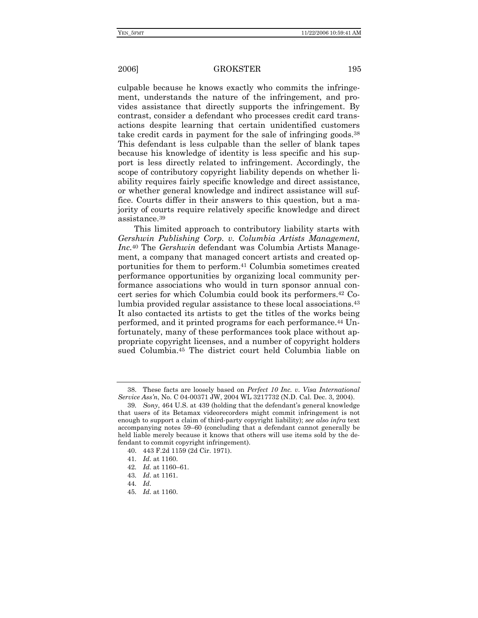culpable because he knows exactly who commits the infringement, understands the nature of the infringement, and provides assistance that directly supports the infringement. By contrast, consider a defendant who processes credit card transactions despite learning that certain unidentified customers take credit cards in payment for the sale of infringing goods.38 This defendant is less culpable than the seller of blank tapes because his knowledge of identity is less specific and his support is less directly related to infringement. Accordingly, the scope of contributory copyright liability depends on whether liability requires fairly specific knowledge and direct assistance, or whether general knowledge and indirect assistance will suffice. Courts differ in their answers to this question, but a majority of courts require relatively specific knowledge and direct assistance.39

This limited approach to contributory liability starts with *Gershwin Publishing Corp. v. Columbia Artists Management, Inc.*40 The *Gershwin* defendant was Columbia Artists Management, a company that managed concert artists and created opportunities for them to perform.41 Columbia sometimes created performance opportunities by organizing local community performance associations who would in turn sponsor annual concert series for which Columbia could book its performers.42 Columbia provided regular assistance to these local associations.43 It also contacted its artists to get the titles of the works being performed, and it printed programs for each performance.44 Unfortunately, many of these performances took place without appropriate copyright licenses, and a number of copyright holders sued Columbia.45 The district court held Columbia liable on

- 41*. Id.* at 1160.
- 42*. Id.* at 1160–61.
- 43*. Id.* at 1161.
- 44*. Id.*
- 45*. Id.* at 1160.

 <sup>38.</sup> These facts are loosely based on *Perfect 10 Inc. v. Visa International Service Ass'n*, No. C 04-00371 JW, 2004 WL 3217732 (N.D. Cal. Dec. 3, 2004).

<sup>39</sup>*. Sony*, 464 U.S. at 439 (holding that the defendant's general knowledge that users of its Betamax videorecorders might commit infringement is not enough to support a claim of third-party copyright liability); *see also infra* text accompanying notes 59–60 (concluding that a defendant cannot generally be held liable merely because it knows that others will use items sold by the defendant to commit copyright infringement).

 <sup>40. 443</sup> F.2d 1159 (2d Cir. 1971).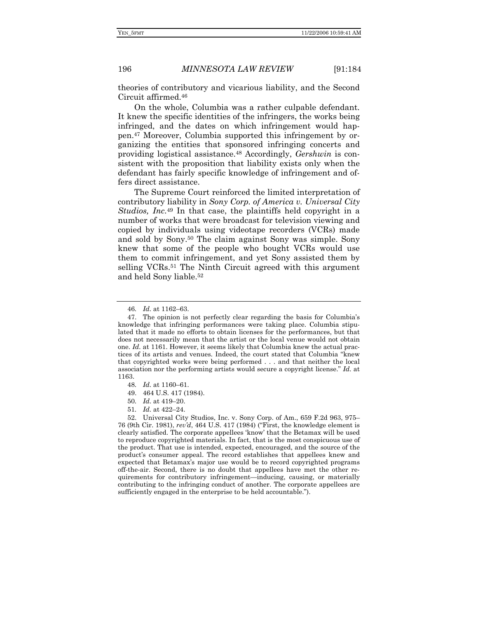theories of contributory and vicarious liability, and the Second Circuit affirmed.46

On the whole, Columbia was a rather culpable defendant. It knew the specific identities of the infringers, the works being infringed, and the dates on which infringement would happen.47 Moreover, Columbia supported this infringement by organizing the entities that sponsored infringing concerts and providing logistical assistance.48 Accordingly, *Gershwin* is consistent with the proposition that liability exists only when the defendant has fairly specific knowledge of infringement and offers direct assistance.

The Supreme Court reinforced the limited interpretation of contributory liability in *Sony Corp. of America v. Universal City Studios, Inc.*49 In that case, the plaintiffs held copyright in a number of works that were broadcast for television viewing and copied by individuals using videotape recorders (VCRs) made and sold by Sony.50 The claim against Sony was simple. Sony knew that some of the people who bought VCRs would use them to commit infringement, and yet Sony assisted them by selling VCRs.<sup>51</sup> The Ninth Circuit agreed with this argument and held Sony liable.52

- 50*. Id.* at 419–20.
- 51*. Id.* at 422–24.

<sup>46</sup>*. Id.* at 1162–63.

 <sup>47.</sup> The opinion is not perfectly clear regarding the basis for Columbia's knowledge that infringing performances were taking place. Columbia stipulated that it made no efforts to obtain licenses for the performances, but that does not necessarily mean that the artist or the local venue would not obtain one. *Id.* at 1161. However, it seems likely that Columbia knew the actual practices of its artists and venues. Indeed, the court stated that Columbia "knew that copyrighted works were being performed . . . and that neither the local association nor the performing artists would secure a copyright license." *Id.* at 1163.

<sup>48</sup>*. Id.* at 1160–61.

 <sup>49. 464</sup> U.S. 417 (1984).

 <sup>52.</sup> Universal City Studios, Inc. v. Sony Corp. of Am., 659 F.2d 963, 975– 76 (9th Cir. 1981), *rev'd*, 464 U.S. 417 (1984) ("First, the knowledge element is clearly satisfied. The corporate appellees 'know' that the Betamax will be used to reproduce copyrighted materials. In fact, that is the most conspicuous use of the product. That use is intended, expected, encouraged, and the source of the product's consumer appeal. The record establishes that appellees knew and expected that Betamax's major use would be to record copyrighted programs off-the-air. Second, there is no doubt that appellees have met the other requirements for contributory infringement—inducing, causing, or materially contributing to the infringing conduct of another. The corporate appellees are sufficiently engaged in the enterprise to be held accountable.").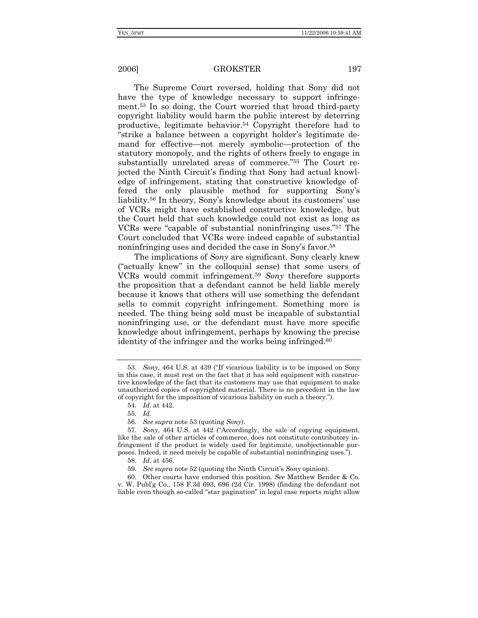The Supreme Court reversed, holding that Sony did not have the type of knowledge necessary to support infringement.53 In so doing, the Court worried that broad third-party copyright liability would harm the public interest by deterring productive, legitimate behavior.54 Copyright therefore had to "strike a balance between a copyright holder's legitimate demand for effective—not merely symbolic—protection of the statutory monopoly, and the rights of others freely to engage in substantially unrelated areas of commerce."55 The Court rejected the Ninth Circuit's finding that Sony had actual knowledge of infringement, stating that constructive knowledge offered the only plausible method for supporting Sony's liability.56 In theory, Sony's knowledge about its customers' use of VCRs might have established constructive knowledge, but the Court held that such knowledge could not exist as long as VCRs were "capable of substantial noninfringing uses."57 The Court concluded that VCRs were indeed capable of substantial noninfringing uses and decided the case in Sony's favor.58

The implications of *Sony* are significant. Sony clearly knew ("actually knew" in the colloquial sense) that some users of VCRs would commit infringement.59 *Sony* therefore supports the proposition that a defendant cannot be held liable merely because it knows that others will use something the defendant sells to commit copyright infringement. Something more is needed. The thing being sold must be incapable of substantial noninfringing use, or the defendant must have more specific knowledge about infringement, perhaps by knowing the precise identity of the infringer and the works being infringed.<sup>60</sup>

56*. See supra* note 53 (quoting *Sony*).

<sup>53</sup>*. Sony*, 464 U.S. at 439 ("If vicarious liability is to be imposed on Sony in this case, it must rest on the fact that it has sold equipment with constructive knowledge of the fact that its customers may use that equipment to make unauthorized copies of copyrighted material. There is no precedent in the law of copyright for the imposition of vicarious liability on such a theory.").

<sup>54</sup>*. Id.* at 442.

<sup>55</sup>*. Id.*

<sup>57</sup>*. Sony*, 464 U.S. at 442 ("Accordingly, the sale of copying equipment, like the sale of other articles of commerce, does not constitute contributory infringement if the product is widely used for legitimate, unobjectionable purposes. Indeed, it need merely be capable of substantial noninfringing uses.").

<sup>58</sup>*. Id.* at 456.

<sup>59</sup>*. See supra* note 52 (quoting the Ninth Circuit's *Sony* opinion).

 <sup>60.</sup> Other courts have endorsed this position. *See* Matthew Bender & Co. v. W. Publ'g Co., 158 F.3d 693, 696 (2d Cir. 1998) (finding the defendant not liable even though so-called "star pagination" in legal case reports might allow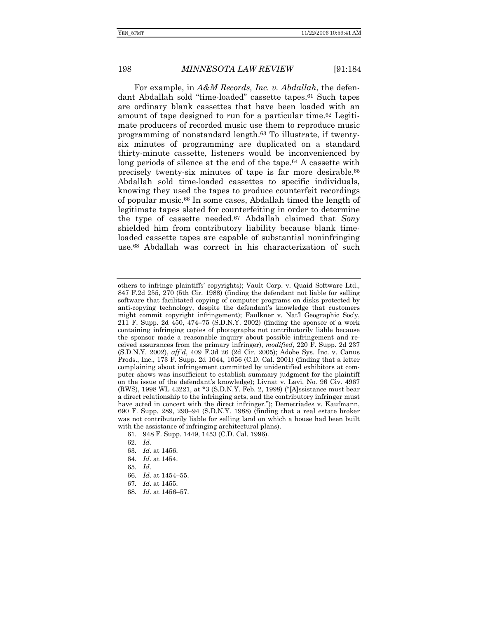For example, in *A&M Records, Inc. v. Abdallah*, the defendant Abdallah sold "time-loaded" cassette tapes.61 Such tapes are ordinary blank cassettes that have been loaded with an amount of tape designed to run for a particular time.62 Legitimate producers of recorded music use them to reproduce music programming of nonstandard length.63 To illustrate, if twentysix minutes of programming are duplicated on a standard thirty-minute cassette, listeners would be inconvenienced by long periods of silence at the end of the tape.<sup>64</sup> A cassette with precisely twenty-six minutes of tape is far more desirable.65 Abdallah sold time-loaded cassettes to specific individuals, knowing they used the tapes to produce counterfeit recordings of popular music.66 In some cases, Abdallah timed the length of legitimate tapes slated for counterfeiting in order to determine the type of cassette needed.67 Abdallah claimed that *Sony* shielded him from contributory liability because blank timeloaded cassette tapes are capable of substantial noninfringing use.68 Abdallah was correct in his characterization of such

- 63*. Id.* at 1456.
- 64*. Id.* at 1454.
- 65*. Id.*
- 66*. Id.* at 1454–55.
- 67*. Id*. at 1455.
- 68*. Id.* at 1456–57.

others to infringe plaintiffs' copyrights); Vault Corp. v. Quaid Software Ltd., 847 F.2d 255, 270 (5th Cir. 1988) (finding the defendant not liable for selling software that facilitated copying of computer programs on disks protected by anti-copying technology, despite the defendant's knowledge that customers might commit copyright infringement); Faulkner v. Nat'l Geographic Soc'y, 211 F. Supp. 2d 450, 474–75 (S.D.N.Y. 2002) (finding the sponsor of a work containing infringing copies of photographs not contributorily liable because the sponsor made a reasonable inquiry about possible infringement and received assurances from the primary infringer), *modified*, 220 F. Supp. 2d 237 (S.D.N.Y. 2002), *aff'd*, 409 F.3d 26 (2d Cir. 2005); Adobe Sys. Inc. v. Canus Prods., Inc., 173 F. Supp. 2d 1044, 1056 (C.D. Cal. 2001) (finding that a letter complaining about infringement committed by unidentified exhibitors at computer shows was insufficient to establish summary judgment for the plaintiff on the issue of the defendant's knowledge); Livnat v. Lavi, No. 96 Civ. 4967 (RWS), 1998 WL 43221, at \*3 (S.D.N.Y. Feb. 2, 1998) ("[A]ssistance must bear a direct relationship to the infringing acts, and the contributory infringer must have acted in concert with the direct infringer."); Demetriades v. Kaufmann, 690 F. Supp. 289, 290–94 (S.D.N.Y. 1988) (finding that a real estate broker was not contributorily liable for selling land on which a house had been built with the assistance of infringing architectural plans).

 <sup>61. 948</sup> F. Supp. 1449, 1453 (C.D. Cal. 1996).

<sup>62</sup>*. Id.*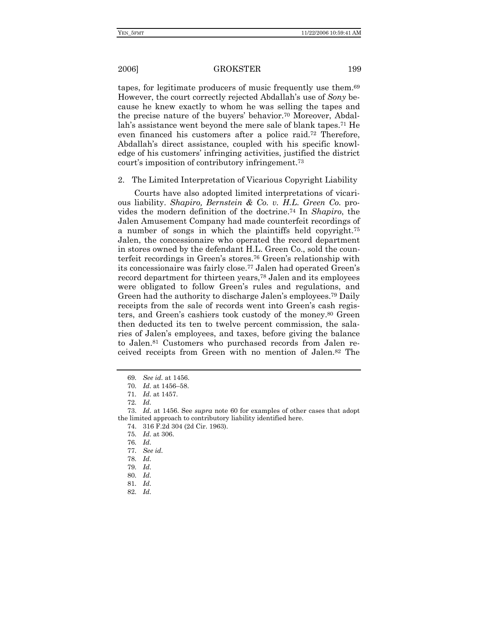tapes, for legitimate producers of music frequently use them.69 However, the court correctly rejected Abdallah's use of *Sony* because he knew exactly to whom he was selling the tapes and the precise nature of the buyers' behavior.70 Moreover, Abdallah's assistance went beyond the mere sale of blank tapes.71 He even financed his customers after a police raid.72 Therefore, Abdallah's direct assistance, coupled with his specific knowledge of his customers' infringing activities, justified the district court's imposition of contributory infringement.73

### 2. The Limited Interpretation of Vicarious Copyright Liability

Courts have also adopted limited interpretations of vicarious liability. *Shapiro, Bernstein & Co. v. H.L. Green Co.* provides the modern definition of the doctrine.74 In *Shapiro*, the Jalen Amusement Company had made counterfeit recordings of a number of songs in which the plaintiffs held copyright.75 Jalen, the concessionaire who operated the record department in stores owned by the defendant H.L. Green Co., sold the counterfeit recordings in Green's stores.76 Green's relationship with its concessionaire was fairly close.77 Jalen had operated Green's record department for thirteen years,78 Jalen and its employees were obligated to follow Green's rules and regulations, and Green had the authority to discharge Jalen's employees.79 Daily receipts from the sale of records went into Green's cash registers, and Green's cashiers took custody of the money.80 Green then deducted its ten to twelve percent commission, the salaries of Jalen's employees, and taxes, before giving the balance to Jalen.81 Customers who purchased records from Jalen received receipts from Green with no mention of Jalen.82 The

74. 316 F.2d 304 (2d Cir. 1963).

<sup>69</sup>*. See id.* at 1456.

<sup>70</sup>*. Id.* at 1456–58.

<sup>71</sup>*. Id.* at 1457.

<sup>72</sup>*. Id.*

 <sup>73.</sup> *Id.* at 1456. See *supra* note 60 for examples of other cases that adopt the limited approach to contributory liability identified here.

<sup>75</sup>*. Id.* at 306.

<sup>76</sup>*. Id.*

<sup>77</sup>*. See id.*

<sup>78</sup>*. Id.*

<sup>79</sup>*. Id.*

<sup>80</sup>*. Id.*

<sup>81</sup>*. Id.*

<sup>82</sup>*. Id.*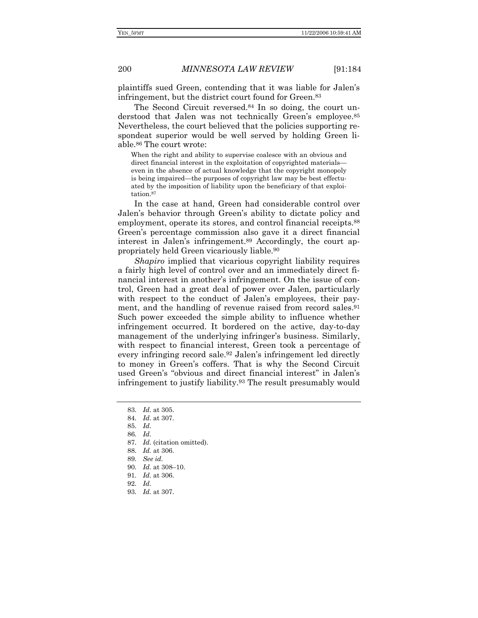plaintiffs sued Green, contending that it was liable for Jalen's infringement, but the district court found for Green.83

The Second Circuit reversed.84 In so doing, the court understood that Jalen was not technically Green's employee.<sup>85</sup> Nevertheless, the court believed that the policies supporting respondeat superior would be well served by holding Green liable.86 The court wrote:

When the right and ability to supervise coalesce with an obvious and direct financial interest in the exploitation of copyrighted materials even in the absence of actual knowledge that the copyright monopoly is being impaired—the purposes of copyright law may be best effectuated by the imposition of liability upon the beneficiary of that exploitation.87

In the case at hand, Green had considerable control over Jalen's behavior through Green's ability to dictate policy and employment, operate its stores, and control financial receipts.<sup>88</sup> Green's percentage commission also gave it a direct financial interest in Jalen's infringement.89 Accordingly, the court appropriately held Green vicariously liable.90

*Shapiro* implied that vicarious copyright liability requires a fairly high level of control over and an immediately direct financial interest in another's infringement. On the issue of control, Green had a great deal of power over Jalen, particularly with respect to the conduct of Jalen's employees, their payment, and the handling of revenue raised from record sales.<sup>91</sup> Such power exceeded the simple ability to influence whether infringement occurred. It bordered on the active, day-to-day management of the underlying infringer's business. Similarly, with respect to financial interest, Green took a percentage of every infringing record sale.92 Jalen's infringement led directly to money in Green's coffers. That is why the Second Circuit used Green's "obvious and direct financial interest" in Jalen's infringement to justify liability.93 The result presumably would

- 90*. Id.* at 308–10.
- 91*. Id.* at 306.
- 92*. Id.*
- 93*. Id.* at 307.

<sup>83</sup>*. Id.* at 305.

<sup>84</sup>*. Id.* at 307.

<sup>85</sup>*. Id.*

<sup>86</sup>*. Id.*

<sup>87</sup>*. Id.* (citation omitted).

<sup>88</sup>*. Id.* at 306.

<sup>89</sup>*. See id.*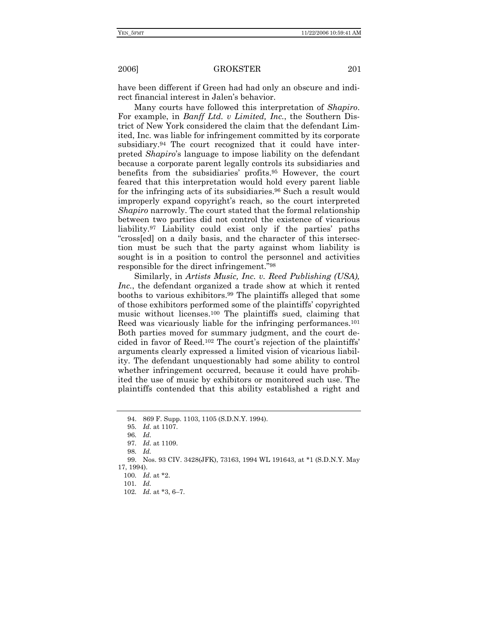have been different if Green had had only an obscure and indirect financial interest in Jalen's behavior.

Many courts have followed this interpretation of *Shapiro*. For example, in *Banff Ltd. v Limited, Inc.*, the Southern District of New York considered the claim that the defendant Limited, Inc. was liable for infringement committed by its corporate subsidiary.94 The court recognized that it could have interpreted *Shapiro*'s language to impose liability on the defendant because a corporate parent legally controls its subsidiaries and benefits from the subsidiaries' profits.95 However, the court feared that this interpretation would hold every parent liable for the infringing acts of its subsidiaries.96 Such a result would improperly expand copyright's reach, so the court interpreted *Shapiro* narrowly. The court stated that the formal relationship between two parties did not control the existence of vicarious liability.97 Liability could exist only if the parties' paths "cross[ed] on a daily basis, and the character of this intersection must be such that the party against whom liability is sought is in a position to control the personnel and activities responsible for the direct infringement."98

Similarly, in *Artists Music, Inc. v. Reed Publishing (USA), Inc.*, the defendant organized a trade show at which it rented booths to various exhibitors.99 The plaintiffs alleged that some of those exhibitors performed some of the plaintiffs' copyrighted music without licenses.100 The plaintiffs sued, claiming that Reed was vicariously liable for the infringing performances.<sup>101</sup> Both parties moved for summary judgment, and the court decided in favor of Reed.102 The court's rejection of the plaintiffs' arguments clearly expressed a limited vision of vicarious liability. The defendant unquestionably had some ability to control whether infringement occurred, because it could have prohibited the use of music by exhibitors or monitored such use. The plaintiffs contended that this ability established a right and

102*. Id.* at \*3, 6–7.

 <sup>94. 869</sup> F. Supp. 1103, 1105 (S.D.N.Y. 1994).

<sup>95</sup>*. Id.* at 1107.

<sup>96</sup>*. Id.*

<sup>97</sup>*. Id.* at 1109.

<sup>98</sup>*. Id.* 

 <sup>99.</sup> Nos. 93 CIV. 3428(JFK), 73163, 1994 WL 191643, at \*1 (S.D.N.Y. May 17, 1994).

<sup>100</sup>*. Id.* at \*2.

<sup>101</sup>*. Id.*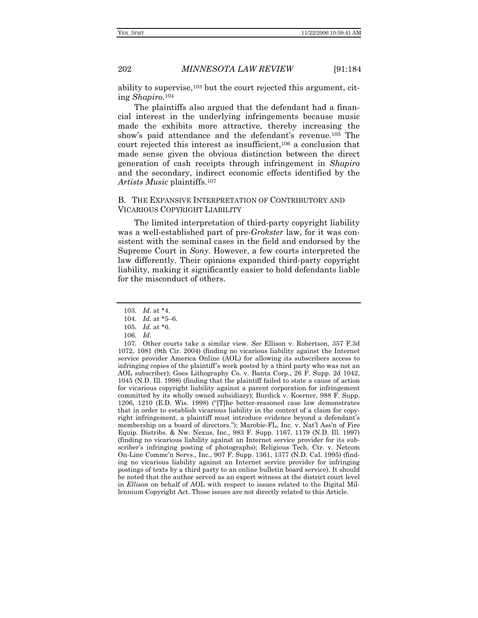ability to supervise,103 but the court rejected this argument, citing *Shapiro.*<sup>104</sup>

The plaintiffs also argued that the defendant had a financial interest in the underlying infringements because music made the exhibits more attractive, thereby increasing the show's paid attendance and the defendant's revenue.105 The court rejected this interest as insufficient,106 a conclusion that made sense given the obvious distinction between the direct generation of cash receipts through infringement in *Shapiro* and the secondary, indirect economic effects identified by the *Artists Music* plaintiffs.107

### B. THE EXPANSIVE INTERPRETATION OF CONTRIBUTORY AND VICARIOUS COPYRIGHT LIABILITY

The limited interpretation of third-party copyright liability was a well-established part of pre-*Grokster* law, for it was consistent with the seminal cases in the field and endorsed by the Supreme Court in *Sony*. However, a few courts interpreted the law differently. Their opinions expanded third-party copyright liability, making it significantly easier to hold defendants liable for the misconduct of others.

<sup>103</sup>*. Id.* at \*4.

<sup>104</sup>*. Id.* at \*5–6.

<sup>105</sup>*. Id.* at \*6.

<sup>106</sup>*. Id.*

 <sup>107.</sup> Other courts take a similar view. *See* Ellison v. Robertson, 357 F.3d 1072, 1081 (9th Cir. 2004) (finding no vicarious liability against the Internet service provider America Online (AOL) for allowing its subscribers access to infringing copies of the plaintiff's work posted by a third party who was not an AOL subscriber); Goes Lithography Co. v. Banta Corp., 26 F. Supp. 2d 1042, 1045 (N.D. Ill. 1998) (finding that the plaintiff failed to state a cause of action for vicarious copyright liability against a parent corporation for infringement committed by its wholly owned subsidiary); Burdick v. Koerner, 988 F. Supp. 1206, 1210 (E.D. Wis. 1998) ("[T]he better-reasoned case law demonstrates that in order to establish vicarious liability in the context of a claim for copyright infringement, a plaintiff must introduce evidence beyond a defendant's membership on a board of directors."); Marobie-FL, Inc. v. Nat'l Ass'n of Fire Equip. Distribs. & Nw. Nexus, Inc., 983 F. Supp. 1167, 1179 (N.D. Ill. 1997) (finding no vicarious liability against an Internet service provider for its subscriber's infringing posting of photographs); Religious Tech. Ctr. v. Netcom On-Line Commc'n Servs., Inc., 907 F. Supp. 1361, 1377 (N.D. Cal. 1995) (finding no vicarious liability against an Internet service provider for infringing postings of texts by a third party to an online bulletin board service). It should be noted that the author served as an expert witness at the district court level in *Ellison* on behalf of AOL with respect to issues related to the Digital Millennium Copyright Act. Those issues are not directly related to this Article.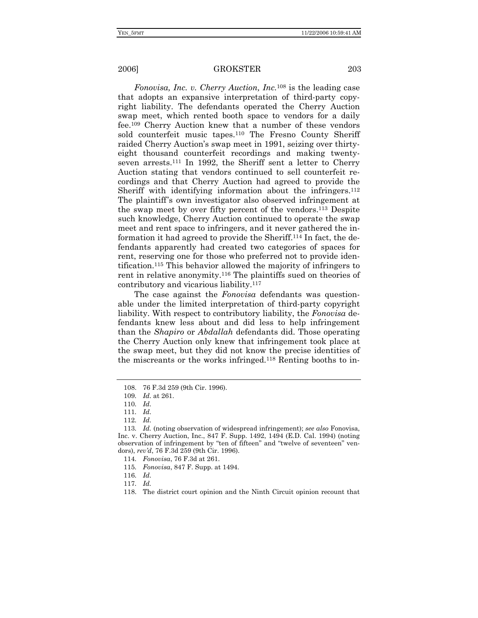*Fonovisa, Inc. v. Cherry Auction, Inc.*<sup>108</sup> is the leading case that adopts an expansive interpretation of third-party copyright liability. The defendants operated the Cherry Auction swap meet, which rented booth space to vendors for a daily fee.109 Cherry Auction knew that a number of these vendors sold counterfeit music tapes.110 The Fresno County Sheriff raided Cherry Auction's swap meet in 1991, seizing over thirtyeight thousand counterfeit recordings and making twentyseven arrests.111 In 1992, the Sheriff sent a letter to Cherry Auction stating that vendors continued to sell counterfeit recordings and that Cherry Auction had agreed to provide the Sheriff with identifying information about the infringers.<sup>112</sup> The plaintiff's own investigator also observed infringement at the swap meet by over fifty percent of the vendors.113 Despite such knowledge, Cherry Auction continued to operate the swap meet and rent space to infringers, and it never gathered the information it had agreed to provide the Sheriff.114 In fact, the defendants apparently had created two categories of spaces for rent, reserving one for those who preferred not to provide identification.115 This behavior allowed the majority of infringers to rent in relative anonymity.116 The plaintiffs sued on theories of contributory and vicarious liability.117

The case against the *Fonovisa* defendants was questionable under the limited interpretation of third-party copyright liability. With respect to contributory liability, the *Fonovisa* defendants knew less about and did less to help infringement than the *Shapiro* or *Abdallah* defendants did. Those operating the Cherry Auction only knew that infringement took place at the swap meet, but they did not know the precise identities of the miscreants or the works infringed.118 Renting booths to in-

 <sup>108. 76</sup> F.3d 259 (9th Cir. 1996).

<sup>109</sup>*. Id.* at 261.

<sup>110</sup>*. Id.*

<sup>111</sup>*. Id.*

<sup>112</sup>*. Id.*

<sup>113</sup>*. Id.* (noting observation of widespread infringement); *see also* Fonovisa, Inc. v. Cherry Auction, Inc., 847 F. Supp. 1492, 1494 (E.D. Cal. 1994) (noting observation of infringement by "ten of fifteen" and "twelve of seventeen" vendors), *rev'd*, 76 F.3d 259 (9th Cir. 1996).

<sup>114</sup>*. Fonovisa*, 76 F.3d at 261.

<sup>115</sup>*. Fonovisa*, 847 F. Supp. at 1494.

 <sup>116.</sup> *Id.*

<sup>117</sup>*. Id.* 

 <sup>118.</sup> The district court opinion and the Ninth Circuit opinion recount that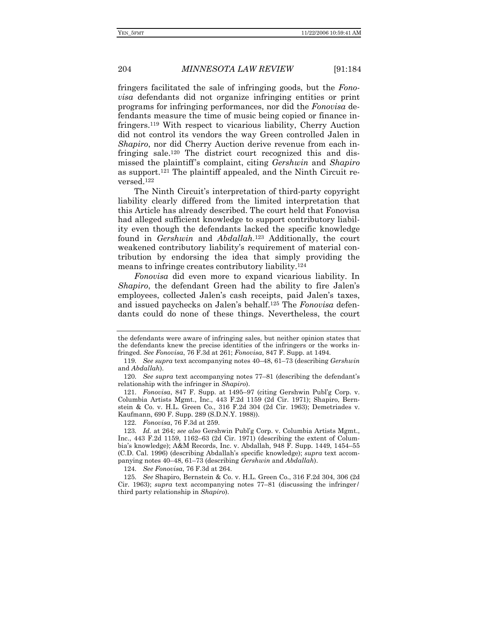fringers facilitated the sale of infringing goods, but the *Fonovisa* defendants did not organize infringing entities or print programs for infringing performances, nor did the *Fonovisa* defendants measure the time of music being copied or finance infringers.119 With respect to vicarious liability, Cherry Auction did not control its vendors the way Green controlled Jalen in *Shapiro*, nor did Cherry Auction derive revenue from each infringing sale.<sup>120</sup> The district court recognized this and dismissed the plaintiff's complaint, citing *Gershwin* and *Shapiro* as support.121 The plaintiff appealed, and the Ninth Circuit reversed.122

The Ninth Circuit's interpretation of third-party copyright liability clearly differed from the limited interpretation that this Article has already described. The court held that Fonovisa had alleged sufficient knowledge to support contributory liability even though the defendants lacked the specific knowledge found in *Gershwin* and *Abdallah*.123 Additionally, the court weakened contributory liability's requirement of material contribution by endorsing the idea that simply providing the means to infringe creates contributory liability.124

*Fonovisa* did even more to expand vicarious liability. In *Shapiro*, the defendant Green had the ability to fire Jalen's employees, collected Jalen's cash receipts, paid Jalen's taxes, and issued paychecks on Jalen's behalf.125 The *Fonovisa* defendants could do none of these things. Nevertheless, the court

the defendants were aware of infringing sales, but neither opinion states that the defendants knew the precise identities of the infringers or the works infringed. *See Fonovisa*, 76 F.3d at 261; *Fonovisa*, 847 F. Supp. at 1494.

<sup>119</sup>*. See supra* text accompanying notes 40–48, 61–73 (describing *Gershwin* and *Abdallah*).

<sup>120</sup>*. See supra* text accompanying notes 77–81 (describing the defendant's relationship with the infringer in *Shapiro*).

 <sup>121.</sup> *Fonovisa*, 847 F. Supp. at 1495–97 (citing Gershwin Publ'g Corp. v. Columbia Artists Mgmt., Inc., 443 F.2d 1159 (2d Cir. 1971); Shapiro, Bernstein & Co. v. H.L. Green Co., 316 F.2d 304 (2d Cir. 1963); Demetriades v. Kaufmann, 690 F. Supp. 289 (S.D.N.Y. 1988)).

 <sup>122.</sup> *Fonovisa*, 76 F.3d at 259.

<sup>123</sup>*. Id.* at 264; *see also* Gershwin Publ'g Corp. v. Columbia Artists Mgmt., Inc., 443 F.2d 1159, 1162–63 (2d Cir. 1971) (describing the extent of Columbia's knowledge); A&M Records, Inc. v. Abdallah, 948 F. Supp. 1449, 1454–55 (C.D. Cal. 1996) (describing Abdallah's specific knowledge); *supra* text accompanying notes 40–48, 61–73 (describing *Gershwin* and *Abdallah*).

<sup>124</sup>*. See Fonovisa*, 76 F.3d at 264.

<sup>125</sup>*. See* Shapiro, Bernstein & Co. v. H.L. Green Co., 316 F.2d 304, 306 (2d Cir. 1963); *supra* text accompanying notes 77–81 (discussing the infringer / third party relationship in *Shapiro*).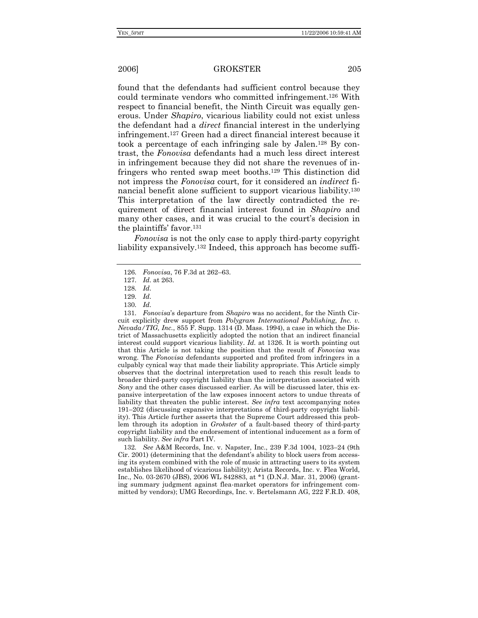found that the defendants had sufficient control because they could terminate vendors who committed infringement.126 With respect to financial benefit, the Ninth Circuit was equally generous. Under *Shapiro*, vicarious liability could not exist unless the defendant had a *direct* financial interest in the underlying infringement.127 Green had a direct financial interest because it took a percentage of each infringing sale by Jalen.128 By contrast, the *Fonovisa* defendants had a much less direct interest in infringement because they did not share the revenues of infringers who rented swap meet booths.129 This distinction did not impress the *Fonovisa* court, for it considered an *indirect* financial benefit alone sufficient to support vicarious liability.130 This interpretation of the law directly contradicted the requirement of direct financial interest found in *Shapiro* and many other cases, and it was crucial to the court's decision in the plaintiffs' favor.131

*Fonovisa* is not the only case to apply third-party copyright liability expansively.<sup>132</sup> Indeed, this approach has become suffi-

131*. Fonovisa*'s departure from *Shapiro* was no accident, for the Ninth Circuit explicitly drew support from *Polygram International Publishing, Inc. v. Nevada/TIG, Inc.*, 855 F. Supp. 1314 (D. Mass. 1994), a case in which the District of Massachusetts explicitly adopted the notion that an indirect financial interest could support vicarious liability. *Id.* at 1326. It is worth pointing out that this Article is not taking the position that the result of *Fonovisa* was wrong. The *Fonovisa* defendants supported and profited from infringers in a culpably cynical way that made their liability appropriate. This Article simply observes that the doctrinal interpretation used to reach this result leads to broader third-party copyright liability than the interpretation associated with *Sony* and the other cases discussed earlier. As will be discussed later, this expansive interpretation of the law exposes innocent actors to undue threats of liability that threaten the public interest. *See infra* text accompanying notes 191–202 (discussing expansive interpretations of third-party copyright liability). This Article further asserts that the Supreme Court addressed this problem through its adoption in *Grokster* of a fault-based theory of third-party copyright liability and the endorsement of intentional inducement as a form of such liability. *See infra* Part IV.

132*. See* A&M Records, Inc. v. Napster, Inc., 239 F.3d 1004, 1023–24 (9th Cir. 2001) (determining that the defendant's ability to block users from accessing its system combined with the role of music in attracting users to its system establishes likelihood of vicarious liability); Arista Records, Inc. v. Flea World, Inc., No. 03-2670 (JBS), 2006 WL 842883, at \*1 (D.N.J. Mar. 31, 2006) (granting summary judgment against flea-market operators for infringement committed by vendors); UMG Recordings, Inc. v. Bertelsmann AG, 222 F.R.D. 408,

<sup>126</sup>*. Fonovisa*, 76 F.3d at 262–63.

<sup>127</sup>*. Id.* at 263.

<sup>128</sup>*. Id.*

<sup>129</sup>*. Id.*

<sup>130</sup>*. Id.*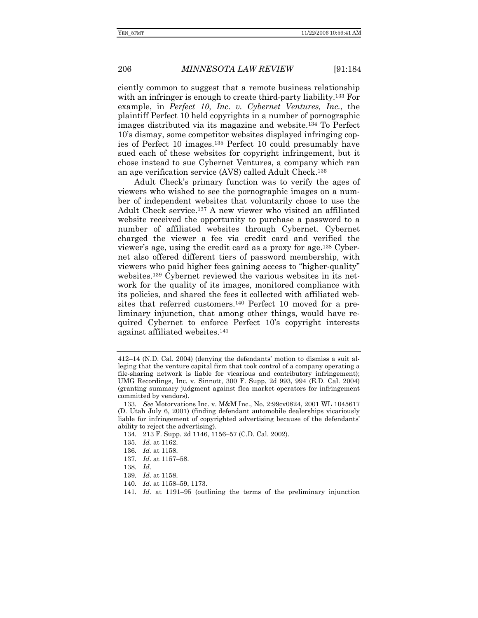ciently common to suggest that a remote business relationship with an infringer is enough to create third-party liability.<sup>133</sup> For example, in *Perfect 10, Inc. v. Cybernet Ventures, Inc.*, the plaintiff Perfect 10 held copyrights in a number of pornographic images distributed via its magazine and website.134 To Perfect 10's dismay, some competitor websites displayed infringing copies of Perfect 10 images.135 Perfect 10 could presumably have sued each of these websites for copyright infringement, but it chose instead to sue Cybernet Ventures, a company which ran an age verification service (AVS) called Adult Check.136

Adult Check's primary function was to verify the ages of viewers who wished to see the pornographic images on a number of independent websites that voluntarily chose to use the Adult Check service.137 A new viewer who visited an affiliated website received the opportunity to purchase a password to a number of affiliated websites through Cybernet. Cybernet charged the viewer a fee via credit card and verified the viewer's age, using the credit card as a proxy for age.138 Cybernet also offered different tiers of password membership, with viewers who paid higher fees gaining access to "higher-quality" websites.139 Cybernet reviewed the various websites in its network for the quality of its images, monitored compliance with its policies, and shared the fees it collected with affiliated websites that referred customers.140 Perfect 10 moved for a preliminary injunction, that among other things, would have required Cybernet to enforce Perfect 10's copyright interests against affiliated websites.141

- 134*.* 213 F. Supp. 2d 1146, 1156–57 (C.D. Cal. 2002).
- 135*. Id.* at 1162.
- 136*. Id.* at 1158.
- 137*. Id.* at 1157–58.
- 138*. Id.*
- 139*. Id.* at 1158.
- 140*. Id.* at 1158–59, 1173.
- 141*. Id.* at 1191–95 (outlining the terms of the preliminary injunction

<sup>412–14 (</sup>N.D. Cal. 2004) (denying the defendants' motion to dismiss a suit alleging that the venture capital firm that took control of a company operating a file-sharing network is liable for vicarious and contributory infringement); UMG Recordings, Inc. v. Sinnott, 300 F. Supp. 2d 993, 994 (E.D. Cal. 2004) (granting summary judgment against flea market operators for infringement committed by vendors).

<sup>133</sup>*. See* Motorvations Inc. v. M&M Inc., No. 2:99cv0824, 2001 WL 1045617 (D. Utah July 6, 2001) (finding defendant automobile dealerships vicariously liable for infringement of copyrighted advertising because of the defendants' ability to reject the advertising).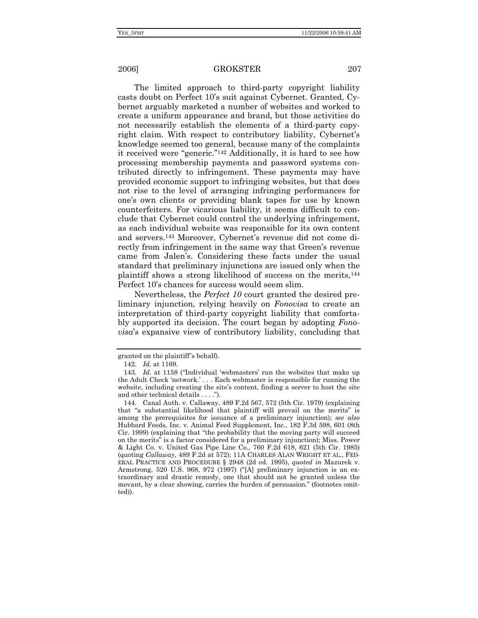The limited approach to third-party copyright liability casts doubt on Perfect 10's suit against Cybernet. Granted, Cybernet arguably marketed a number of websites and worked to create a uniform appearance and brand, but those activities do not necessarily establish the elements of a third-party copyright claim. With respect to contributory liability, Cybernet's knowledge seemed too general, because many of the complaints it received were "generic."142 Additionally, it is hard to see how processing membership payments and password systems contributed directly to infringement. These payments may have provided economic support to infringing websites, but that does not rise to the level of arranging infringing performances for one's own clients or providing blank tapes for use by known counterfeiters. For vicarious liability, it seems difficult to conclude that Cybernet could control the underlying infringement, as each individual website was responsible for its own content and servers.143 Moreover, Cybernet's revenue did not come directly from infringement in the same way that Green's revenue came from Jalen's. Considering these facts under the usual standard that preliminary injunctions are issued only when the plaintiff shows a strong likelihood of success on the merits,144 Perfect 10's chances for success would seem slim.

Nevertheless, the *Perfect 10* court granted the desired preliminary injunction, relying heavily on *Fonovisa* to create an interpretation of third-party copyright liability that comfortably supported its decision. The court began by adopting *Fonovisa*'s expansive view of contributory liability, concluding that

granted on the plaintiff's behalf).

<sup>142</sup>*. Id.* at 1169.

<sup>143</sup>*. Id.* at 1158 ("Individual 'webmasters' run the websites that make up the Adult Check 'network.' . . . Each webmaster is responsible for running the website, including creating the site's content, finding a server to host the site and other technical details . . . .").

<sup>144</sup>*.* Canal Auth. v. Callaway, 489 F.2d 567, 572 (5th Cir. 1979) (explaining that "a substantial likelihood that plaintiff will prevail on the merits" is among the prerequisites for issuance of a preliminary injunction); *see also*  Hubbard Feeds, Inc. v. Animal Feed Supplement, Inc., 182 F.3d 598, 601 (8th Cir. 1999) (explaining that "the probability that the moving party will succeed on the merits" is a factor considered for a preliminary injunction); Miss. Power & Light Co. v. United Gas Pipe Line Co., 760 F.2d 618, 621 (5th Cir. 1985) (quoting *Callaway*, 489 F.2d at 572); 11A CHARLES ALAN WRIGHT ET AL., FED-ERAL PRACTICE AND PROCEDURE § 2948 (2d ed. 1995), *quoted in* Mazurek v. Armstrong, 520 U.S. 968, 972 (1997) ("[A] preliminary injunction is an extraordinary and drastic remedy, one that should not be granted unless the movant, by a clear showing, carries the burden of persuasion." (footnotes omitted)).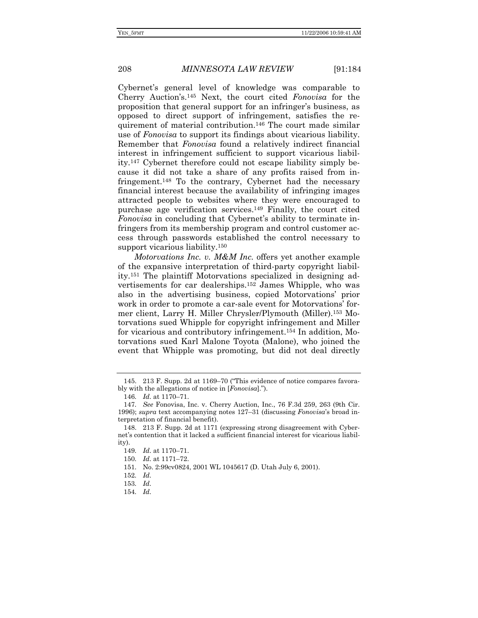Cybernet's general level of knowledge was comparable to Cherry Auction's.145 Next, the court cited *Fonovisa* for the proposition that general support for an infringer's business, as opposed to direct support of infringement, satisfies the requirement of material contribution.146 The court made similar use of *Fonovisa* to support its findings about vicarious liability. Remember that *Fonovisa* found a relatively indirect financial interest in infringement sufficient to support vicarious liability.147 Cybernet therefore could not escape liability simply because it did not take a share of any profits raised from infringement.148 To the contrary, Cybernet had the necessary financial interest because the availability of infringing images attracted people to websites where they were encouraged to purchase age verification services.149 Finally, the court cited *Fonovisa* in concluding that Cybernet's ability to terminate infringers from its membership program and control customer access through passwords established the control necessary to support vicarious liability.150

*Motorvations Inc. v. M&M Inc.* offers yet another example of the expansive interpretation of third-party copyright liability.151 The plaintiff Motorvations specialized in designing advertisements for car dealerships.152 James Whipple, who was also in the advertising business, copied Motorvations' prior work in order to promote a car-sale event for Motorvations' former client, Larry H. Miller Chrysler/Plymouth (Miller).153 Motorvations sued Whipple for copyright infringement and Miller for vicarious and contributory infringement.154 In addition, Motorvations sued Karl Malone Toyota (Malone), who joined the event that Whipple was promoting, but did not deal directly

 <sup>145. 213</sup> F. Supp. 2d at 1169–70 ("This evidence of notice compares favorably with the allegations of notice in [*Fonovisa*].").

<sup>146</sup>*. Id.* at 1170–71.

<sup>147</sup>*. See* Fonovisa, Inc. v. Cherry Auction, Inc., 76 F.3d 259, 263 (9th Cir. 1996); *supra* text accompanying notes 127–31 (discussing *Fonovisa*'s broad interpretation of financial benefit).

 <sup>148. 213</sup> F. Supp. 2d at 1171 (expressing strong disagreement with Cybernet's contention that it lacked a sufficient financial interest for vicarious liability).

<sup>149</sup>*. Id.* at 1170–71.

<sup>150</sup>*. Id.* at 1171–72.

 <sup>151.</sup> No. 2:99cv0824, 2001 WL 1045617 (D. Utah July 6, 2001).

<sup>152</sup>*. Id.*

<sup>153</sup>*. Id.*

<sup>154</sup>*. Id.*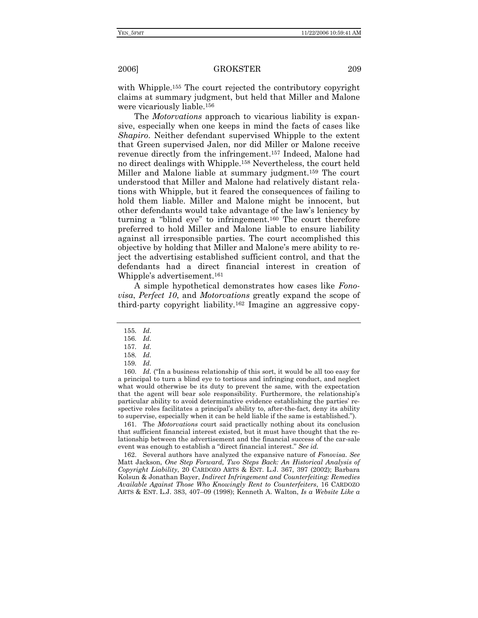with Whipple.<sup>155</sup> The court rejected the contributory copyright claims at summary judgment, but held that Miller and Malone were vicariously liable.156

The *Motorvations* approach to vicarious liability is expansive, especially when one keeps in mind the facts of cases like *Shapiro*. Neither defendant supervised Whipple to the extent that Green supervised Jalen, nor did Miller or Malone receive revenue directly from the infringement.157 Indeed, Malone had no direct dealings with Whipple.158 Nevertheless, the court held Miller and Malone liable at summary judgment.159 The court understood that Miller and Malone had relatively distant relations with Whipple, but it feared the consequences of failing to hold them liable. Miller and Malone might be innocent, but other defendants would take advantage of the law's leniency by turning a "blind eye" to infringement.160 The court therefore preferred to hold Miller and Malone liable to ensure liability against all irresponsible parties. The court accomplished this objective by holding that Miller and Malone's mere ability to reject the advertising established sufficient control, and that the defendants had a direct financial interest in creation of Whipple's advertisement.161

A simple hypothetical demonstrates how cases like *Fonovisa*, *Perfect 10*, and *Motorvations* greatly expand the scope of third-party copyright liability.162 Imagine an aggressive copy-

 160. *Id.* ("In a business relationship of this sort, it would be all too easy for a principal to turn a blind eye to tortious and infringing conduct, and neglect what would otherwise be its duty to prevent the same, with the expectation that the agent will bear sole responsibility. Furthermore, the relationship's particular ability to avoid determinative evidence establishing the parties' respective roles facilitates a principal's ability to, after-the-fact, deny its ability to supervise, especially when it can be held liable if the same is established.").

 161. The *Motorvations* court said practically nothing about its conclusion that sufficient financial interest existed, but it must have thought that the relationship between the advertisement and the financial success of the car-sale event was enough to establish a "direct financial interest." *See id.*

 162. Several authors have analyzed the expansive nature of *Fonovisa*. *See*  Matt Jackson, *One Step Forward, Two Steps Back: An Historical Analysis of Copyright Liability*, 20 CARDOZO ARTS & ENT. L.J. 367, 397 (2002); Barbara Kolsun & Jonathan Bayer, *Indirect Infringement and Counterfeiting: Remedies Available Against Those Who Knowingly Rent to Counterfeiters*, 16 CARDOZO ARTS & ENT. L.J. 383, 407–09 (1998); Kenneth A. Walton, *Is a Website Like a* 

<sup>155</sup>*. Id.*

<sup>156</sup>*. Id.*

<sup>157</sup>*. Id.*

<sup>158</sup>*. Id.*

<sup>159</sup>*. Id.*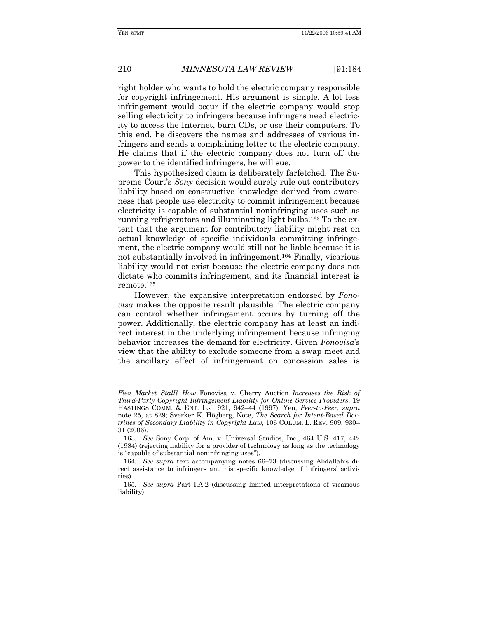right holder who wants to hold the electric company responsible for copyright infringement. His argument is simple. A lot less infringement would occur if the electric company would stop selling electricity to infringers because infringers need electricity to access the Internet, burn CDs, or use their computers. To this end, he discovers the names and addresses of various infringers and sends a complaining letter to the electric company. He claims that if the electric company does not turn off the power to the identified infringers, he will sue.

This hypothesized claim is deliberately farfetched. The Supreme Court's *Sony* decision would surely rule out contributory liability based on constructive knowledge derived from awareness that people use electricity to commit infringement because electricity is capable of substantial noninfringing uses such as running refrigerators and illuminating light bulbs.163 To the extent that the argument for contributory liability might rest on actual knowledge of specific individuals committing infringement, the electric company would still not be liable because it is not substantially involved in infringement.164 Finally, vicarious liability would not exist because the electric company does not dictate who commits infringement, and its financial interest is remote.165

However, the expansive interpretation endorsed by *Fonovisa* makes the opposite result plausible. The electric company can control whether infringement occurs by turning off the power. Additionally, the electric company has at least an indirect interest in the underlying infringement because infringing behavior increases the demand for electricity. Given *Fonovisa*'s view that the ability to exclude someone from a swap meet and the ancillary effect of infringement on concession sales is

*Flea Market Stall? How* Fonovisa v. Cherry Auction *Increases the Risk of Third-Party Copyright Infringement Liability for Online Service Providers*, 19 HASTINGS COMM. & ENT. L.J. 921, 942–44 (1997); Yen, *Peer-to-Peer*, *supra*  note 25, at 829; Sverker K. Högberg, Note, *The Search for Intent-Based Doctrines of Secondary Liability in Copyright Law*, 106 COLUM. L. REV. 909, 930– 31 (2006).

<sup>163</sup>*. See* Sony Corp. of Am. v. Universal Studios, Inc., 464 U.S. 417, 442 (1984) (rejecting liability for a provider of technology as long as the technology is "capable of substantial noninfringing uses").

<sup>164</sup>*. See supra* text accompanying notes 66–73 (discussing Abdallah's direct assistance to infringers and his specific knowledge of infringers' activities).

<sup>165</sup>*. See supra* Part I.A.2 (discussing limited interpretations of vicarious liability).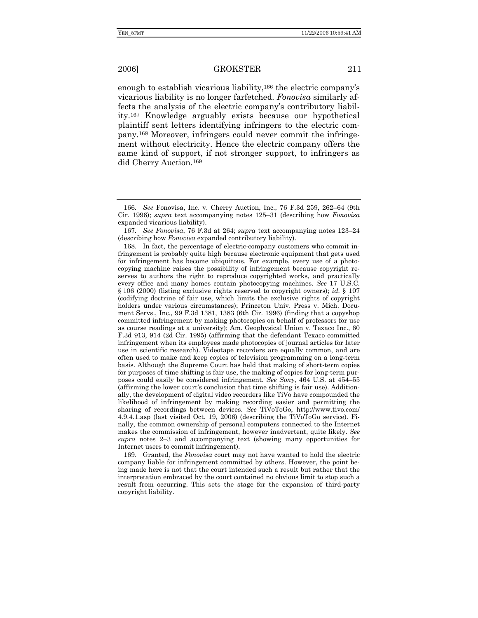enough to establish vicarious liability,<sup>166</sup> the electric company's vicarious liability is no longer farfetched. *Fonovisa* similarly affects the analysis of the electric company's contributory liability.167 Knowledge arguably exists because our hypothetical plaintiff sent letters identifying infringers to the electric company.168 Moreover, infringers could never commit the infringement without electricity. Hence the electric company offers the same kind of support, if not stronger support, to infringers as did Cherry Auction.169

 169. Granted, the *Fonovisa* court may not have wanted to hold the electric company liable for infringement committed by others. However, the point being made here is not that the court intended such a result but rather that the interpretation embraced by the court contained no obvious limit to stop such a result from occurring. This sets the stage for the expansion of third-party copyright liability.

 <sup>166.</sup> *See* Fonovisa, Inc. v. Cherry Auction, Inc., 76 F.3d 259, 262–64 (9th Cir. 1996); *supra* text accompanying notes 125–31 (describing how *Fonovisa*  expanded vicarious liability).

 <sup>167.</sup> *See Fonovisa*, 76 F.3d at 264; *supra* text accompanying notes 123–24 (describing how *Fonovisa* expanded contributory liability).

 <sup>168.</sup> In fact, the percentage of electric-company customers who commit infringement is probably quite high because electronic equipment that gets used for infringement has become ubiquitous. For example, every use of a photocopying machine raises the possibility of infringement because copyright reserves to authors the right to reproduce copyrighted works, and practically every office and many homes contain photocopying machines. *See* 17 U.S.C. § 106 (2000) (listing exclusive rights reserved to copyright owners); *id.* § 107 (codifying doctrine of fair use, which limits the exclusive rights of copyright holders under various circumstances); Princeton Univ. Press v. Mich. Document Servs., Inc., 99 F.3d 1381, 1383 (6th Cir. 1996) (finding that a copyshop committed infringement by making photocopies on behalf of professors for use as course readings at a university); Am. Geophysical Union v. Texaco Inc., 60 F.3d 913, 914 (2d Cir. 1995) (affirming that the defendant Texaco committed infringement when its employees made photocopies of journal articles for later use in scientific research). Videotape recorders are equally common, and are often used to make and keep copies of television programming on a long-term basis. Although the Supreme Court has held that making of short-term copies for purposes of time shifting is fair use, the making of copies for long-term purposes could easily be considered infringement. *See Sony*, 464 U.S. at 454–55 (affirming the lower court's conclusion that time shifting is fair use). Additionally, the development of digital video recorders like TiVo have compounded the likelihood of infringement by making recording easier and permitting the sharing of recordings between devices. *See* TiVoToGo, http://www.tivo.com/ 4.9.4.1.asp (last visited Oct. 19, 2006) (describing the TiVoToGo service). Finally, the common ownership of personal computers connected to the Internet makes the commission of infringement, however inadvertent, quite likely. *See supra* notes 2–3 and accompanying text (showing many opportunities for Internet users to commit infringement).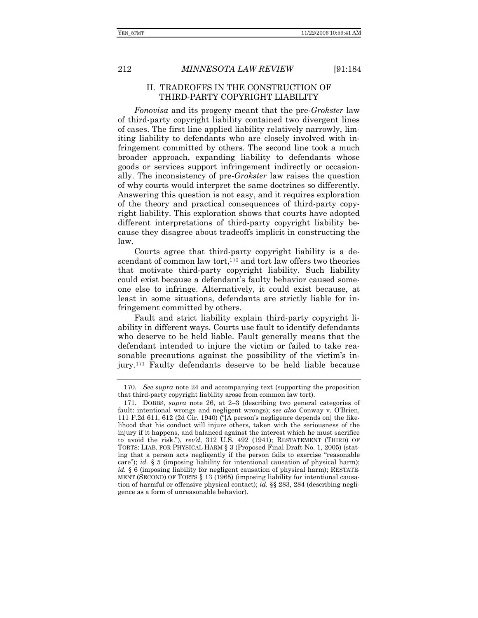### II. TRADEOFFS IN THE CONSTRUCTION OF THIRD-PARTY COPYRIGHT LIABILITY

*Fonovisa* and its progeny meant that the pre-*Grokster* law of third-party copyright liability contained two divergent lines of cases. The first line applied liability relatively narrowly, limiting liability to defendants who are closely involved with infringement committed by others. The second line took a much broader approach, expanding liability to defendants whose goods or services support infringement indirectly or occasionally. The inconsistency of pre-*Grokster* law raises the question of why courts would interpret the same doctrines so differently. Answering this question is not easy, and it requires exploration of the theory and practical consequences of third-party copyright liability. This exploration shows that courts have adopted different interpretations of third-party copyright liability because they disagree about tradeoffs implicit in constructing the law.

Courts agree that third-party copyright liability is a descendant of common law tort,<sup>170</sup> and tort law offers two theories that motivate third-party copyright liability. Such liability could exist because a defendant's faulty behavior caused someone else to infringe. Alternatively, it could exist because, at least in some situations, defendants are strictly liable for infringement committed by others.

Fault and strict liability explain third-party copyright liability in different ways. Courts use fault to identify defendants who deserve to be held liable. Fault generally means that the defendant intended to injure the victim or failed to take reasonable precautions against the possibility of the victim's injury.171 Faulty defendants deserve to be held liable because

<sup>170</sup>*. See supra* note 24 and accompanying text (supporting the proposition that third-party copyright liability arose from common law tort).

<sup>171</sup>*.* DOBBS, *supra* note 26, at 2–3 (describing two general categories of fault: intentional wrongs and negligent wrongs); *see also* Conway v. O'Brien, 111 F.2d 611, 612 (2d Cir. 1940) ("[A person's negligence depends on] the likelihood that his conduct will injure others, taken with the seriousness of the injury if it happens, and balanced against the interest which he must sacrifice to avoid the risk."), *rev'd*, 312 U.S. 492 (1941); RESTATEMENT (THIRD) OF TORTS: LIAB. FOR PHYSICAL HARM § 3 (Proposed Final Draft No. 1, 2005) (stating that a person acts negligently if the person fails to exercise "reasonable care"); *id.* § 5 (imposing liability for intentional causation of physical harm); *id.* § 6 (imposing liability for negligent causation of physical harm); RESTATE-MENT (SECOND) OF TORTS § 13 (1965) (imposing liability for intentional causation of harmful or offensive physical contact); *id.* §§ 283, 284 (describing negligence as a form of unreasonable behavior).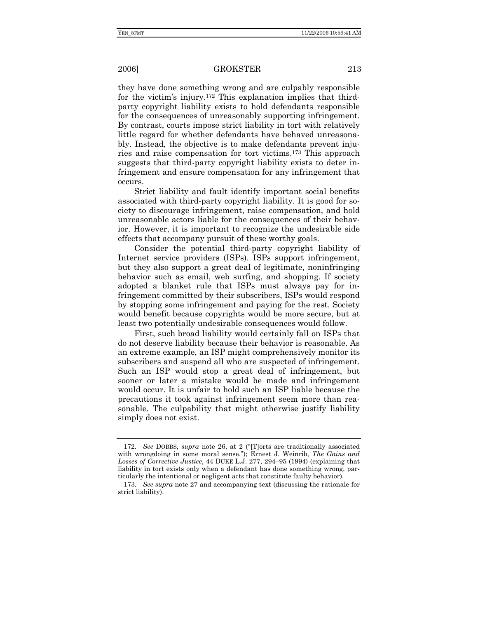they have done something wrong and are culpably responsible for the victim's injury.172 This explanation implies that thirdparty copyright liability exists to hold defendants responsible for the consequences of unreasonably supporting infringement. By contrast, courts impose strict liability in tort with relatively little regard for whether defendants have behaved unreasonably. Instead, the objective is to make defendants prevent injuries and raise compensation for tort victims.173 This approach suggests that third-party copyright liability exists to deter infringement and ensure compensation for any infringement that occurs.

Strict liability and fault identify important social benefits associated with third-party copyright liability. It is good for society to discourage infringement, raise compensation, and hold unreasonable actors liable for the consequences of their behavior. However, it is important to recognize the undesirable side effects that accompany pursuit of these worthy goals.

Consider the potential third-party copyright liability of Internet service providers (ISPs). ISPs support infringement, but they also support a great deal of legitimate, noninfringing behavior such as email, web surfing, and shopping. If society adopted a blanket rule that ISPs must always pay for infringement committed by their subscribers, ISPs would respond by stopping some infringement and paying for the rest. Society would benefit because copyrights would be more secure, but at least two potentially undesirable consequences would follow.

First, such broad liability would certainly fall on ISPs that do not deserve liability because their behavior is reasonable. As an extreme example, an ISP might comprehensively monitor its subscribers and suspend all who are suspected of infringement. Such an ISP would stop a great deal of infringement, but sooner or later a mistake would be made and infringement would occur. It is unfair to hold such an ISP liable because the precautions it took against infringement seem more than reasonable. The culpability that might otherwise justify liability simply does not exist.

<sup>172</sup>*. See* DOBBS, *supra* note 26, at 2 ("[T]orts are traditionally associated with wrongdoing in some moral sense."); Ernest J. Weinrib, *The Gains and Losses of Corrective Justice*, 44 DUKE L.J. 277, 294–95 (1994) (explaining that liability in tort exists only when a defendant has done something wrong, particularly the intentional or negligent acts that constitute faulty behavior).

<sup>173</sup>*. See supra* note 27 and accompanying text (discussing the rationale for strict liability).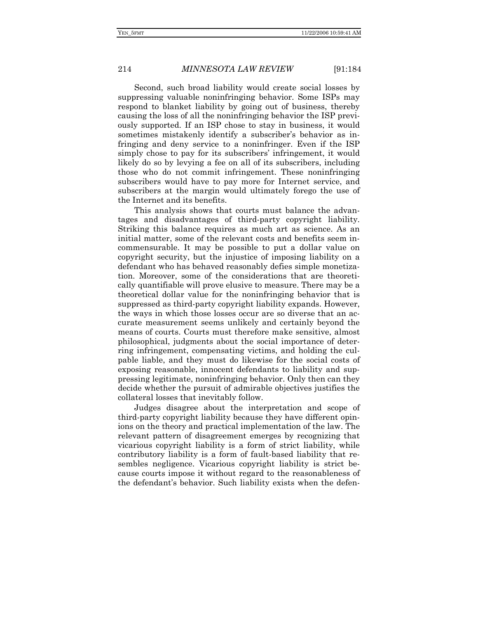Second, such broad liability would create social losses by suppressing valuable noninfringing behavior. Some ISPs may respond to blanket liability by going out of business, thereby causing the loss of all the noninfringing behavior the ISP previously supported. If an ISP chose to stay in business, it would sometimes mistakenly identify a subscriber's behavior as infringing and deny service to a noninfringer. Even if the ISP simply chose to pay for its subscribers' infringement, it would likely do so by levying a fee on all of its subscribers, including those who do not commit infringement. These noninfringing subscribers would have to pay more for Internet service, and subscribers at the margin would ultimately forego the use of the Internet and its benefits.

This analysis shows that courts must balance the advantages and disadvantages of third-party copyright liability. Striking this balance requires as much art as science. As an initial matter, some of the relevant costs and benefits seem incommensurable. It may be possible to put a dollar value on copyright security, but the injustice of imposing liability on a defendant who has behaved reasonably defies simple monetization. Moreover, some of the considerations that are theoretically quantifiable will prove elusive to measure. There may be a theoretical dollar value for the noninfringing behavior that is suppressed as third-party copyright liability expands. However, the ways in which those losses occur are so diverse that an accurate measurement seems unlikely and certainly beyond the means of courts. Courts must therefore make sensitive, almost philosophical, judgments about the social importance of deterring infringement, compensating victims, and holding the culpable liable, and they must do likewise for the social costs of exposing reasonable, innocent defendants to liability and suppressing legitimate, noninfringing behavior. Only then can they decide whether the pursuit of admirable objectives justifies the collateral losses that inevitably follow.

Judges disagree about the interpretation and scope of third-party copyright liability because they have different opinions on the theory and practical implementation of the law. The relevant pattern of disagreement emerges by recognizing that vicarious copyright liability is a form of strict liability, while contributory liability is a form of fault-based liability that resembles negligence. Vicarious copyright liability is strict because courts impose it without regard to the reasonableness of the defendant's behavior. Such liability exists when the defen-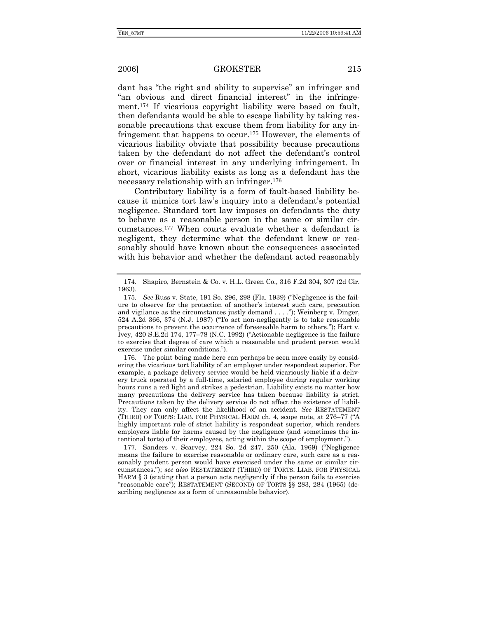dant has "the right and ability to supervise" an infringer and "an obvious and direct financial interest" in the infringement.174 If vicarious copyright liability were based on fault, then defendants would be able to escape liability by taking reasonable precautions that excuse them from liability for any infringement that happens to occur.175 However, the elements of vicarious liability obviate that possibility because precautions taken by the defendant do not affect the defendant's control over or financial interest in any underlying infringement. In short, vicarious liability exists as long as a defendant has the necessary relationship with an infringer.176

Contributory liability is a form of fault-based liability because it mimics tort law's inquiry into a defendant's potential negligence. Standard tort law imposes on defendants the duty to behave as a reasonable person in the same or similar circumstances.177 When courts evaluate whether a defendant is negligent, they determine what the defendant knew or reasonably should have known about the consequences associated with his behavior and whether the defendant acted reasonably

 176. The point being made here can perhaps be seen more easily by considering the vicarious tort liability of an employer under respondeat superior. For example, a package delivery service would be held vicariously liable if a delivery truck operated by a full-time, salaried employee during regular working hours runs a red light and strikes a pedestrian. Liability exists no matter how many precautions the delivery service has taken because liability is strict. Precautions taken by the delivery service do not affect the existence of liability. They can only affect the likelihood of an accident. *See* RESTATEMENT (THIRD) OF TORTS: LIAB. FOR PHYSICAL HARM ch. 4, scope note, at 276–77 ("A highly important rule of strict liability is respondeat superior, which renders employers liable for harms caused by the negligence (and sometimes the intentional torts) of their employees, acting within the scope of employment.").

177*.* Sanders v. Scarvey, 224 So. 2d 247, 250 (Ala. 1969) ("Negligence means the failure to exercise reasonable or ordinary care, such care as a reasonably prudent person would have exercised under the same or similar circumstances."); *see also* RESTATEMENT (THIRD) OF TORTS: LIAB. FOR PHYSICAL HARM § 3 (stating that a person acts negligently if the person fails to exercise "reasonable care"); RESTATEMENT (SECOND) OF TORTS §§ 283, 284 (1965) (describing negligence as a form of unreasonable behavior).

 <sup>174.</sup> Shapiro, Bernstein & Co. v. H.L. Green Co., 316 F.2d 304, 307 (2d Cir. 1963).

<sup>175</sup>*. See* Russ v. State, 191 So. 296, 298 (Fla. 1939) ("Negligence is the failure to observe for the protection of another's interest such care, precaution and vigilance as the circumstances justly demand . . . ."); Weinberg v. Dinger, 524 A.2d 366, 374 (N.J. 1987) ("To act non-negligently is to take reasonable precautions to prevent the occurrence of foreseeable harm to others."); Hart v. Ivey, 420 S.E.2d 174, 177–78 (N.C. 1992) ("Actionable negligence is the failure to exercise that degree of care which a reasonable and prudent person would exercise under similar conditions.").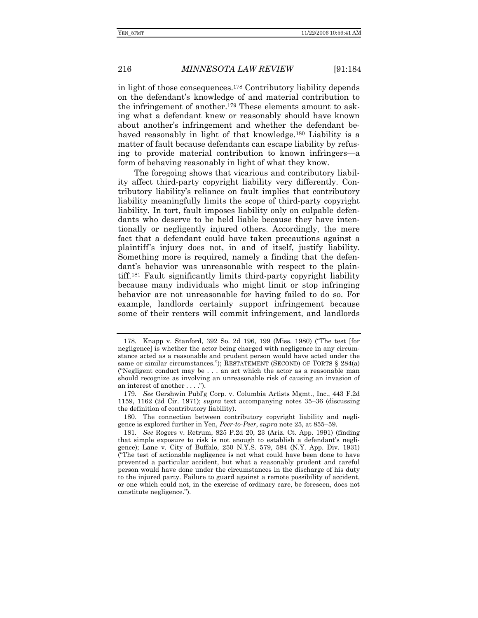in light of those consequences.178 Contributory liability depends on the defendant's knowledge of and material contribution to the infringement of another.179 These elements amount to asking what a defendant knew or reasonably should have known about another's infringement and whether the defendant behaved reasonably in light of that knowledge.<sup>180</sup> Liability is a matter of fault because defendants can escape liability by refusing to provide material contribution to known infringers—a form of behaving reasonably in light of what they know.

The foregoing shows that vicarious and contributory liability affect third-party copyright liability very differently. Contributory liability's reliance on fault implies that contributory liability meaningfully limits the scope of third-party copyright liability. In tort, fault imposes liability only on culpable defendants who deserve to be held liable because they have intentionally or negligently injured others. Accordingly, the mere fact that a defendant could have taken precautions against a plaintiff's injury does not, in and of itself, justify liability. Something more is required, namely a finding that the defendant's behavior was unreasonable with respect to the plaintiff.181 Fault significantly limits third-party copyright liability because many individuals who might limit or stop infringing behavior are not unreasonable for having failed to do so. For example, landlords certainly support infringement because some of their renters will commit infringement, and landlords

<sup>178</sup>*.* Knapp v. Stanford, 392 So. 2d 196, 199 (Miss. 1980) ("The test [for negligence] is whether the actor being charged with negligence in any circumstance acted as a reasonable and prudent person would have acted under the same or similar circumstances."); RESTATEMENT (SECOND) OF TORTS § 284(a) ("Negligent conduct may be . . . an act which the actor as a reasonable man should recognize as involving an unreasonable risk of causing an invasion of an interest of another . . . .").

<sup>179</sup>*. See* Gershwin Publ'g Corp. v. Columbia Artists Mgmt., Inc., 443 F.2d 1159, 1162 (2d Cir. 1971); *supra* text accompanying notes 35–36 (discussing the definition of contributory liability).

 <sup>180.</sup> The connection between contributory copyright liability and negligence is explored further in Yen, *Peer-to-Peer*, *supra* note 25, at 855–59.

<sup>181</sup>*. See* Rogers v. Retrum, 825 P.2d 20, 23 (Ariz. Ct. App. 1991) (finding that simple exposure to risk is not enough to establish a defendant's negligence); Lane v. City of Buffalo, 250 N.Y.S. 579, 584 (N.Y. App. Div. 1931) ("The test of actionable negligence is not what could have been done to have prevented a particular accident, but what a reasonably prudent and careful person would have done under the circumstances in the discharge of his duty to the injured party. Failure to guard against a remote possibility of accident, or one which could not, in the exercise of ordinary care, be foreseen, does not constitute negligence.").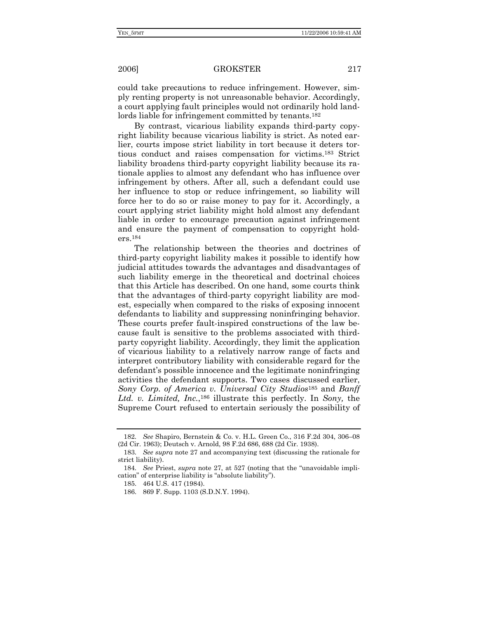could take precautions to reduce infringement. However, simply renting property is not unreasonable behavior. Accordingly, a court applying fault principles would not ordinarily hold landlords liable for infringement committed by tenants.182

By contrast, vicarious liability expands third-party copyright liability because vicarious liability is strict. As noted earlier, courts impose strict liability in tort because it deters tortious conduct and raises compensation for victims.183 Strict liability broadens third-party copyright liability because its rationale applies to almost any defendant who has influence over infringement by others. After all, such a defendant could use her influence to stop or reduce infringement, so liability will force her to do so or raise money to pay for it. Accordingly, a court applying strict liability might hold almost any defendant liable in order to encourage precaution against infringement and ensure the payment of compensation to copyright holders.184

The relationship between the theories and doctrines of third-party copyright liability makes it possible to identify how judicial attitudes towards the advantages and disadvantages of such liability emerge in the theoretical and doctrinal choices that this Article has described. On one hand, some courts think that the advantages of third-party copyright liability are modest, especially when compared to the risks of exposing innocent defendants to liability and suppressing noninfringing behavior. These courts prefer fault-inspired constructions of the law because fault is sensitive to the problems associated with thirdparty copyright liability. Accordingly, they limit the application of vicarious liability to a relatively narrow range of facts and interpret contributory liability with considerable regard for the defendant's possible innocence and the legitimate noninfringing activities the defendant supports. Two cases discussed earlier, *Sony Corp. of America v. Universal City Studios*185 and *Banff Ltd. v. Limited, Inc.*,186 illustrate this perfectly. In *Sony,* the Supreme Court refused to entertain seriously the possibility of

<sup>182</sup>*. See* Shapiro, Bernstein & Co. v. H.L. Green Co., 316 F.2d 304, 306–08 (2d Cir. 1963); Deutsch v. Arnold, 98 F.2d 686, 688 (2d Cir. 1938).

<sup>183</sup>*. See supra* note 27 and accompanying text (discussing the rationale for strict liability).

<sup>184</sup>*. See* Priest, *supra* note 27, at 527 (noting that the "unavoidable implication" of enterprise liability is "absolute liability").

 <sup>185. 464</sup> U.S. 417 (1984).

 <sup>186. 869</sup> F. Supp. 1103 (S.D.N.Y. 1994).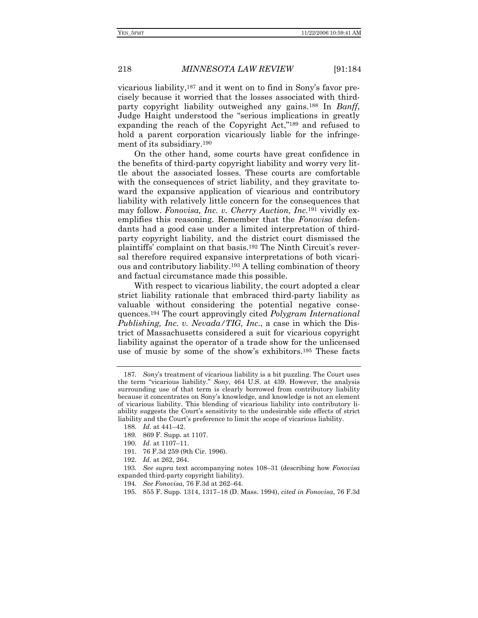vicarious liability,187 and it went on to find in Sony's favor precisely because it worried that the losses associated with thirdparty copyright liability outweighed any gains.188 In *Banff*, Judge Haight understood the "serious implications in greatly expanding the reach of the Copyright Act,"189 and refused to hold a parent corporation vicariously liable for the infringement of its subsidiary.190

On the other hand, some courts have great confidence in the benefits of third-party copyright liability and worry very little about the associated losses. These courts are comfortable with the consequences of strict liability, and they gravitate toward the expansive application of vicarious and contributory liability with relatively little concern for the consequences that may follow. *Fonovisa, Inc. v. Cherry Auction, Inc.*191 vividly exemplifies this reasoning. Remember that the *Fonovisa* defendants had a good case under a limited interpretation of thirdparty copyright liability, and the district court dismissed the plaintiffs' complaint on that basis.192 The Ninth Circuit's reversal therefore required expansive interpretations of both vicarious and contributory liability.193 A telling combination of theory and factual circumstance made this possible.

With respect to vicarious liability, the court adopted a clear strict liability rationale that embraced third-party liability as valuable without considering the potential negative consequences.194 The court approvingly cited *Polygram International Publishing, Inc. v. Nevada/TIG, Inc.*, a case in which the District of Massachusetts considered a suit for vicarious copyright liability against the operator of a trade show for the unlicensed use of music by some of the show's exhibitors.195 These facts

<sup>187</sup>*. Sony*'s treatment of vicarious liability is a bit puzzling. The Court uses the term "vicarious liability." *Sony*, 464 U.S. at 439. However, the analysis surrounding use of that term is clearly borrowed from contributory liability because it concentrates on Sony's knowledge, and knowledge is not an element of vicarious liability. This blending of vicarious liability into contributory liability suggests the Court's sensitivity to the undesirable side effects of strict liability and the Court's preference to limit the scope of vicarious liability.

<sup>188</sup>*. Id.* at 441–42.

<sup>189</sup>*.* 869 F. Supp. at 1107.

<sup>190</sup>*. Id.* at 1107–11.

 <sup>191. 76</sup> F.3d 259 (9th Cir. 1996).

<sup>192</sup>*. Id.* at 262, 264.

<sup>193</sup>*. See supra* text accompanying notes 108–31 (describing how *Fonovisa* expanded third-party copyright liability).

<sup>194</sup>*. See Fonovisa*, 76 F.3d at 262–64.

 <sup>195. 855</sup> F. Supp. 1314, 1317–18 (D. Mass. 1994), *cited in Fonovisa*, 76 F.3d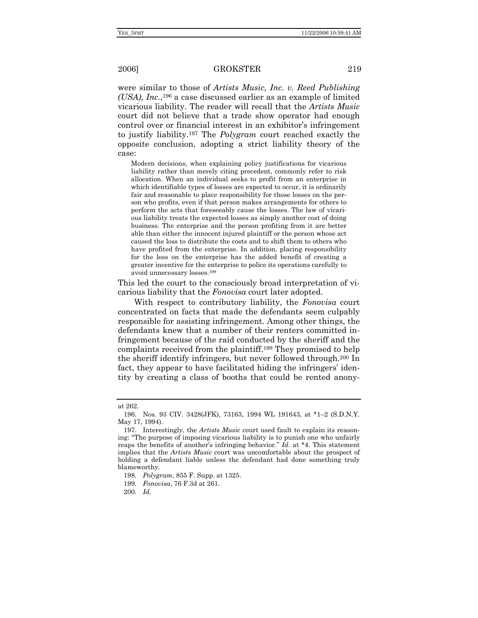were similar to those of *Artists Music, Inc. v. Reed Publishing (USA), Inc.*,196 a case discussed earlier as an example of limited vicarious liability. The reader will recall that the *Artists Music*  court did not believe that a trade show operator had enough control over or financial interest in an exhibitor's infringement to justify liability.197 The *Polygram* court reached exactly the opposite conclusion, adopting a strict liability theory of the case:

Modern decisions, when explaining policy justifications for vicarious liability rather than merely citing precedent, commonly refer to risk allocation. When an individual seeks to profit from an enterprise in which identifiable types of losses are expected to occur, it is ordinarily fair and reasonable to place responsibility for those losses on the person who profits, even if that person makes arrangements for others to perform the acts that foreseeably cause the losses. The law of vicarious liability treats the expected losses as simply another cost of doing business. The enterprise and the person profiting from it are better able than either the innocent injured plaintiff or the person whose act caused the loss to distribute the costs and to shift them to others who have profited from the enterprise. In addition, placing responsibility for the loss on the enterprise has the added benefit of creating a greater incentive for the enterprise to police its operations carefully to avoid unnecessary losses.198

This led the court to the consciously broad interpretation of vicarious liability that the *Fonovisa* court later adopted.

With respect to contributory liability, the *Fonovisa* court concentrated on facts that made the defendants seem culpably responsible for assisting infringement. Among other things, the defendants knew that a number of their renters committed infringement because of the raid conducted by the sheriff and the complaints received from the plaintiff.199 They promised to help the sheriff identify infringers, but never followed through.200 In fact, they appear to have facilitated hiding the infringers' identity by creating a class of booths that could be rented anony-

at 262.

 <sup>196.</sup> Nos. 93 CIV. 3428(JFK), 73163, 1994 WL 191643, at \*1–2 (S.D.N.Y. May 17, 1994).

 <sup>197.</sup> Interestingly, the *Artists Music* court used fault to explain its reasoning: "The purpose of imposing vicarious liability is to punish one who unfairly reaps the benefits of another's infringing behavior." *Id.* at \*4. This statement implies that the *Artists Music* court was uncomfortable about the prospect of holding a defendant liable unless the defendant had done something truly blameworthy.

<sup>198</sup>*. Polygram*, 855 F. Supp. at 1325.

<sup>199</sup>*. Fonovisa*, 76 F.3d at 261.

<sup>200</sup>*. Id.*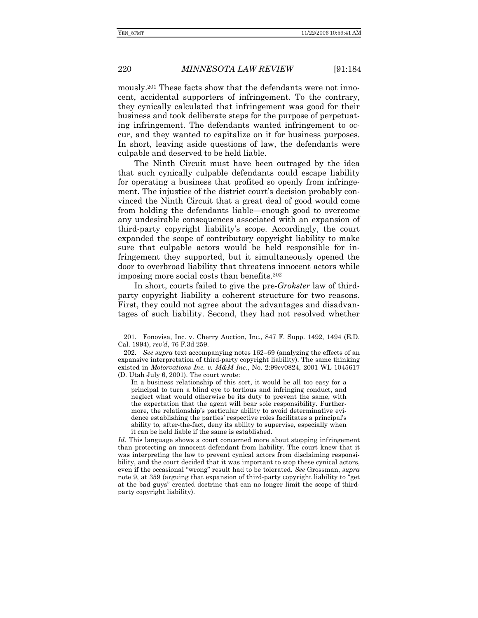mously.201 These facts show that the defendants were not innocent, accidental supporters of infringement. To the contrary, they cynically calculated that infringement was good for their business and took deliberate steps for the purpose of perpetuating infringement. The defendants wanted infringement to occur, and they wanted to capitalize on it for business purposes. In short, leaving aside questions of law, the defendants were culpable and deserved to be held liable.

The Ninth Circuit must have been outraged by the idea that such cynically culpable defendants could escape liability for operating a business that profited so openly from infringement. The injustice of the district court's decision probably convinced the Ninth Circuit that a great deal of good would come from holding the defendants liable—enough good to overcome any undesirable consequences associated with an expansion of third-party copyright liability's scope. Accordingly, the court expanded the scope of contributory copyright liability to make sure that culpable actors would be held responsible for infringement they supported, but it simultaneously opened the door to overbroad liability that threatens innocent actors while imposing more social costs than benefits.202

In short, courts failed to give the pre-*Grokster* law of thirdparty copyright liability a coherent structure for two reasons. First, they could not agree about the advantages and disadvantages of such liability. Second, they had not resolved whether

*Id.* This language shows a court concerned more about stopping infringement than protecting an innocent defendant from liability. The court knew that it was interpreting the law to prevent cynical actors from disclaiming responsibility, and the court decided that it was important to stop these cynical actors, even if the occasional "wrong" result had to be tolerated. *See* Grossman, *supra*  note 9, at 359 (arguing that expansion of third-party copyright liability to "get at the bad guys" created doctrine that can no longer limit the scope of thirdparty copyright liability).

<sup>201</sup>*.* Fonovisa, Inc. v. Cherry Auction, Inc., 847 F. Supp. 1492, 1494 (E.D. Cal. 1994), *rev'd*, 76 F.3d 259.

<sup>202</sup>*. See supra* text accompanying notes 162–69 (analyzing the effects of an expansive interpretation of third-party copyright liability). The same thinking existed in *Motorvations Inc. v. M&M Inc.*, No. 2:99cv0824, 2001 WL 1045617 (D. Utah July 6, 2001). The court wrote:

In a business relationship of this sort, it would be all too easy for a principal to turn a blind eye to tortious and infringing conduct, and neglect what would otherwise be its duty to prevent the same, with the expectation that the agent will bear sole responsibility. Furthermore, the relationship's particular ability to avoid determinative evidence establishing the parties' respective roles facilitates a principal's ability to, after-the-fact, deny its ability to supervise, especially when it can be held liable if the same is established.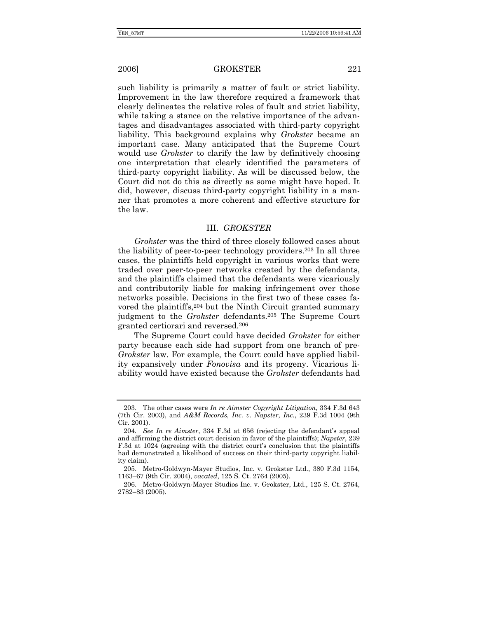such liability is primarily a matter of fault or strict liability. Improvement in the law therefore required a framework that clearly delineates the relative roles of fault and strict liability, while taking a stance on the relative importance of the advantages and disadvantages associated with third-party copyright liability. This background explains why *Grokster* became an important case. Many anticipated that the Supreme Court would use *Grokster* to clarify the law by definitively choosing one interpretation that clearly identified the parameters of third-party copyright liability. As will be discussed below, the Court did not do this as directly as some might have hoped. It did, however, discuss third-party copyright liability in a manner that promotes a more coherent and effective structure for the law.

### III. *GROKSTER*

*Grokster* was the third of three closely followed cases about the liability of peer-to-peer technology providers.203 In all three cases, the plaintiffs held copyright in various works that were traded over peer-to-peer networks created by the defendants, and the plaintiffs claimed that the defendants were vicariously and contributorily liable for making infringement over those networks possible. Decisions in the first two of these cases favored the plaintiffs,204 but the Ninth Circuit granted summary judgment to the *Grokster* defendants.205 The Supreme Court granted certiorari and reversed.206

The Supreme Court could have decided *Grokster* for either party because each side had support from one branch of pre-*Grokster* law. For example, the Court could have applied liability expansively under *Fonovisa* and its progeny. Vicarious liability would have existed because the *Grokster* defendants had

 <sup>203.</sup> The other cases were *In re Aimster Copyright Litigation*, 334 F.3d 643 (7th Cir. 2003), and *A&M Records, Inc. v. Napster, Inc.*, 239 F.3d 1004 (9th Cir. 2001).

<sup>204</sup>*. See In re Aimster*, 334 F.3d at 656 (rejecting the defendant's appeal and affirming the district court decision in favor of the plaintiffs); *Napster*, 239 F.3d at 1024 (agreeing with the district court's conclusion that the plaintiffs had demonstrated a likelihood of success on their third-party copyright liability claim).

 <sup>205.</sup> Metro-Goldwyn-Mayer Studios, Inc. v. Grokster Ltd., 380 F.3d 1154, 1163–67 (9th Cir. 2004), *vacated*, 125 S. Ct. 2764 (2005).

 <sup>206.</sup> Metro-Goldwyn-Mayer Studios Inc. v. Grokster, Ltd., 125 S. Ct. 2764, 2782–83 (2005).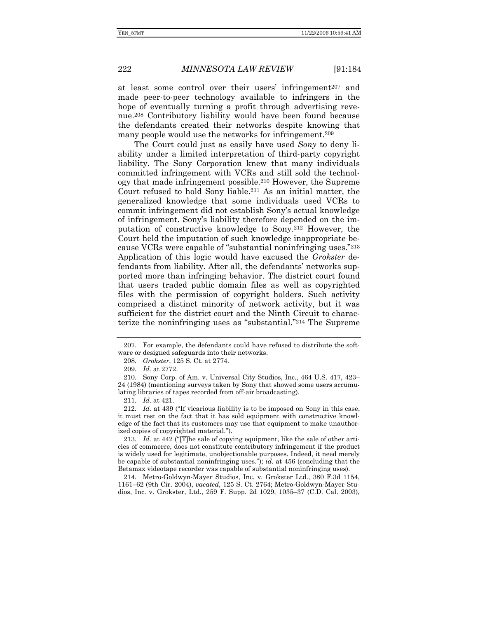at least some control over their users' infringement<sup>207</sup> and made peer-to-peer technology available to infringers in the hope of eventually turning a profit through advertising revenue.208 Contributory liability would have been found because the defendants created their networks despite knowing that many people would use the networks for infringement.209

The Court could just as easily have used *Sony* to deny liability under a limited interpretation of third-party copyright liability. The Sony Corporation knew that many individuals committed infringement with VCRs and still sold the technology that made infringement possible.210 However, the Supreme Court refused to hold Sony liable.211 As an initial matter, the generalized knowledge that some individuals used VCRs to commit infringement did not establish Sony's actual knowledge of infringement. Sony's liability therefore depended on the imputation of constructive knowledge to Sony.212 However, the Court held the imputation of such knowledge inappropriate because VCRs were capable of "substantial noninfringing uses."213 Application of this logic would have excused the *Grokster* defendants from liability. After all, the defendants' networks supported more than infringing behavior. The district court found that users traded public domain files as well as copyrighted files with the permission of copyright holders. Such activity comprised a distinct minority of network activity, but it was sufficient for the district court and the Ninth Circuit to characterize the noninfringing uses as "substantial."214 The Supreme

208*. Grokster*, 125 S. Ct. at 2774.

213*. Id.* at 442 ("[T]he sale of copying equipment, like the sale of other articles of commerce, does not constitute contributory infringement if the product is widely used for legitimate, unobjectionable purposes. Indeed, it need merely be capable of substantial noninfringing uses."); *id.* at 456 (concluding that the Betamax videotape recorder was capable of substantial noninfringing uses).

 214. Metro-Goldwyn-Mayer Studios, Inc. v. Grokster Ltd., 380 F.3d 1154, 1161–62 (9th Cir. 2004), *vacated*, 125 S. Ct. 2764; Metro-Goldwyn-Mayer Studios, Inc. v. Grokster, Ltd., 259 F. Supp. 2d 1029, 1035–37 (C.D. Cal. 2003),

 <sup>207.</sup> For example, the defendants could have refused to distribute the software or designed safeguards into their networks.

<sup>209</sup>*. Id.* at 2772.

 <sup>210.</sup> Sony Corp. of Am. v. Universal City Studios, Inc., 464 U.S. 417, 423– 24 (1984) (mentioning surveys taken by Sony that showed some users accumulating libraries of tapes recorded from off-air broadcasting).

<sup>211</sup>*. Id.* at 421.

<sup>212</sup>*. Id.* at 439 ("If vicarious liability is to be imposed on Sony in this case, it must rest on the fact that it has sold equipment with constructive knowledge of the fact that its customers may use that equipment to make unauthorized copies of copyrighted material.").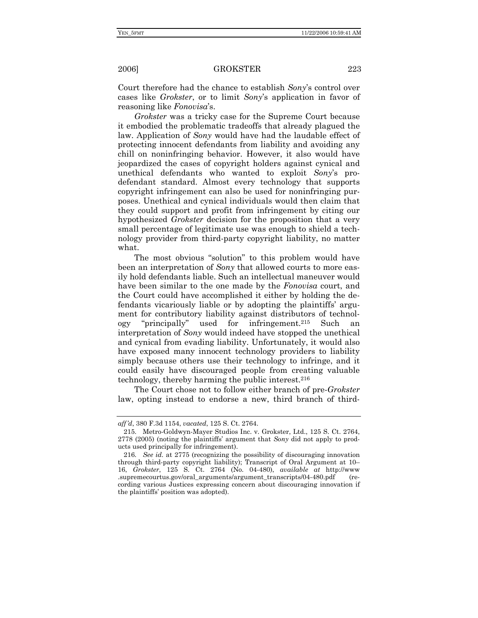Court therefore had the chance to establish *Sony*'s control over cases like *Grokster*, or to limit *Sony*'s application in favor of reasoning like *Fonovisa*'s.

*Grokster* was a tricky case for the Supreme Court because it embodied the problematic tradeoffs that already plagued the law. Application of *Sony* would have had the laudable effect of protecting innocent defendants from liability and avoiding any chill on noninfringing behavior. However, it also would have jeopardized the cases of copyright holders against cynical and unethical defendants who wanted to exploit *Sony*'s prodefendant standard. Almost every technology that supports copyright infringement can also be used for noninfringing purposes. Unethical and cynical individuals would then claim that they could support and profit from infringement by citing our hypothesized *Grokster* decision for the proposition that a very small percentage of legitimate use was enough to shield a technology provider from third-party copyright liability, no matter what.

The most obvious "solution" to this problem would have been an interpretation of *Sony* that allowed courts to more easily hold defendants liable. Such an intellectual maneuver would have been similar to the one made by the *Fonovisa* court, and the Court could have accomplished it either by holding the defendants vicariously liable or by adopting the plaintiffs' argument for contributory liability against distributors of technology "principally" used for infringement.215 Such an interpretation of *Sony* would indeed have stopped the unethical and cynical from evading liability. Unfortunately, it would also have exposed many innocent technology providers to liability simply because others use their technology to infringe, and it could easily have discouraged people from creating valuable technology, thereby harming the public interest.216

The Court chose not to follow either branch of pre-*Grokster* law, opting instead to endorse a new, third branch of third-

*aff'd*, 380 F.3d 1154, *vacated*, 125 S. Ct. 2764.

 <sup>215.</sup> Metro-Goldwyn-Mayer Studios Inc. v. Grokster, Ltd., 125 S. Ct. 2764, 2778 (2005) (noting the plaintiffs' argument that *Sony* did not apply to products used principally for infringement).

<sup>216</sup>*. See id.* at 2775 (recognizing the possibility of discouraging innovation through third-party copyright liability); Transcript of Oral Argument at 10– 16, *Grokster*, 125 S. Ct. 2764 (No. 04-480), *available at* http://www .supremecourtus.gov/oral\_arguments/argument\_transcripts/04-480.pdf (recording various Justices expressing concern about discouraging innovation if the plaintiffs' position was adopted).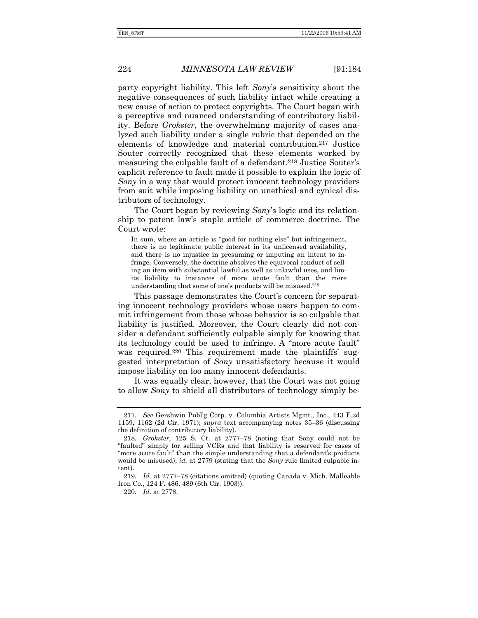tributors of technology.

### 224 *MINNESOTA LAW REVIEW* [91:184

party copyright liability. This left *Sony*'s sensitivity about the negative consequences of such liability intact while creating a new cause of action to protect copyrights. The Court began with a perceptive and nuanced understanding of contributory liability. Before *Grokster*, the overwhelming majority of cases analyzed such liability under a single rubric that depended on the elements of knowledge and material contribution.217 Justice Souter correctly recognized that these elements worked by measuring the culpable fault of a defendant.218 Justice Souter's explicit reference to fault made it possible to explain the logic of *Sony* in a way that would protect innocent technology providers from suit while imposing liability on unethical and cynical dis-

The Court began by reviewing *Sony*'s logic and its relationship to patent law's staple article of commerce doctrine. The Court wrote:

In sum, where an article is "good for nothing else" but infringement, there is no legitimate public interest in its unlicensed availability, and there is no injustice in presuming or imputing an intent to infringe. Conversely, the doctrine absolves the equivocal conduct of selling an item with substantial lawful as well as unlawful uses, and limits liability to instances of more acute fault than the mere understanding that some of one's products will be misused.219

This passage demonstrates the Court's concern for separating innocent technology providers whose users happen to commit infringement from those whose behavior is so culpable that liability is justified. Moreover, the Court clearly did not consider a defendant sufficiently culpable simply for knowing that its technology could be used to infringe. A "more acute fault" was required.220 This requirement made the plaintiffs' suggested interpretation of *Sony* unsatisfactory because it would impose liability on too many innocent defendants.

It was equally clear, however, that the Court was not going to allow *Sony* to shield all distributors of technology simply be-

<sup>217</sup>*. See* Gershwin Publ'g Corp. v. Columbia Artists Mgmt., Inc., 443 F.2d 1159, 1162 (2d Cir. 1971); *supra* text accompanying notes 35–36 (discussing the definition of contributory liability).

<sup>218</sup>*. Grokster*, 125 S. Ct. at 2777–78 (noting that Sony could not be "faulted" simply for selling VCRs and that liability is reserved for cases of "more acute fault" than the simple understanding that a defendant's products would be misused); *id.* at 2779 (stating that the *Sony* rule limited culpable intent).

<sup>219</sup>*. Id.* at 2777–78 (citations omitted) (quoting Canada v. Mich. Malleable Iron Co., 124 F. 486, 489 (6th Cir. 1903)).

<sup>220</sup>*. Id.* at 2778.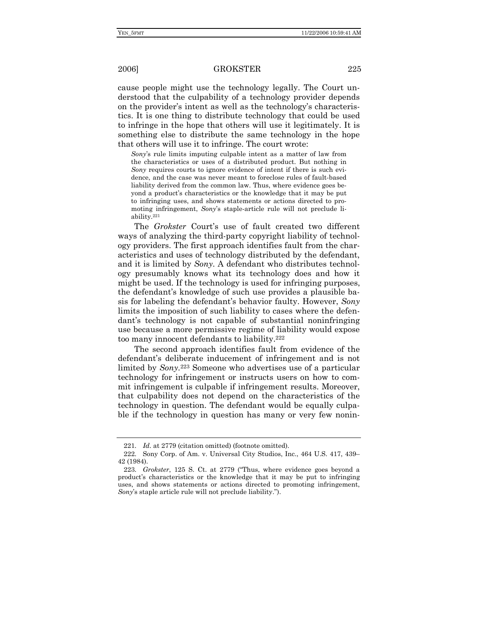cause people might use the technology legally. The Court understood that the culpability of a technology provider depends on the provider's intent as well as the technology's characteristics. It is one thing to distribute technology that could be used to infringe in the hope that others will use it legitimately. It is something else to distribute the same technology in the hope that others will use it to infringe. The court wrote:

*Sony*'s rule limits imputing culpable intent as a matter of law from the characteristics or uses of a distributed product. But nothing in *Sony* requires courts to ignore evidence of intent if there is such evidence, and the case was never meant to foreclose rules of fault-based liability derived from the common law. Thus, where evidence goes beyond a product's characteristics or the knowledge that it may be put to infringing uses, and shows statements or actions directed to promoting infringement, *Sony*'s staple-article rule will not preclude liability.221

The *Grokster* Court's use of fault created two different ways of analyzing the third-party copyright liability of technology providers. The first approach identifies fault from the characteristics and uses of technology distributed by the defendant, and it is limited by *Sony*. A defendant who distributes technology presumably knows what its technology does and how it might be used. If the technology is used for infringing purposes, the defendant's knowledge of such use provides a plausible basis for labeling the defendant's behavior faulty. However, *Sony* limits the imposition of such liability to cases where the defendant's technology is not capable of substantial noninfringing use because a more permissive regime of liability would expose too many innocent defendants to liability.222

The second approach identifies fault from evidence of the defendant's deliberate inducement of infringement and is not limited by *Sony.*223 Someone who advertises use of a particular technology for infringement or instructs users on how to commit infringement is culpable if infringement results. Moreover, that culpability does not depend on the characteristics of the technology in question. The defendant would be equally culpable if the technology in question has many or very few nonin-

<sup>221</sup>*. Id.* at 2779 (citation omitted) (footnote omitted).

<sup>222</sup>*.* Sony Corp. of Am. v. Universal City Studios, Inc., 464 U.S. 417, 439– 42 (1984).

<sup>223</sup>*. Grokster*, 125 S. Ct. at 2779 ("Thus, where evidence goes beyond a product's characteristics or the knowledge that it may be put to infringing uses, and shows statements or actions directed to promoting infringement, *Sony*'s staple article rule will not preclude liability.").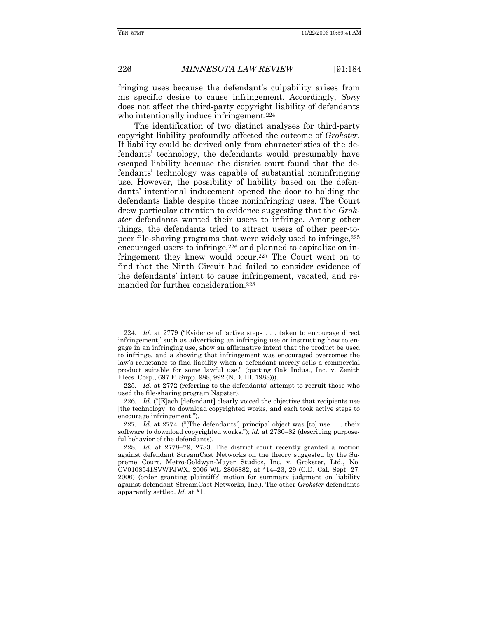fringing uses because the defendant's culpability arises from his specific desire to cause infringement. Accordingly, *Sony* does not affect the third-party copyright liability of defendants who intentionally induce infringement.<sup>224</sup>

The identification of two distinct analyses for third-party copyright liability profoundly affected the outcome of *Grokster*. If liability could be derived only from characteristics of the defendants' technology, the defendants would presumably have escaped liability because the district court found that the defendants' technology was capable of substantial noninfringing use. However, the possibility of liability based on the defendants' intentional inducement opened the door to holding the defendants liable despite those noninfringing uses. The Court drew particular attention to evidence suggesting that the *Grokster* defendants wanted their users to infringe. Among other things, the defendants tried to attract users of other peer-topeer file-sharing programs that were widely used to infringe,225 encouraged users to infringe, $226$  and planned to capitalize on infringement they knew would occur.227 The Court went on to find that the Ninth Circuit had failed to consider evidence of the defendants' intent to cause infringement, vacated, and remanded for further consideration.228

<sup>224</sup>*. Id.* at 2779 ("Evidence of 'active steps . . . taken to encourage direct infringement,' such as advertising an infringing use or instructing how to engage in an infringing use, show an affirmative intent that the product be used to infringe, and a showing that infringement was encouraged overcomes the law's reluctance to find liability when a defendant merely sells a commercial product suitable for some lawful use." (quoting Oak Indus., Inc. v. Zenith Elecs. Corp., 697 F. Supp. 988, 992 (N.D. Ill. 1988))).

<sup>225</sup>*. Id.* at 2772 (referring to the defendants' attempt to recruit those who used the file-sharing program Napster).

<sup>226</sup>*. Id.* ("[E]ach [defendant] clearly voiced the objective that recipients use [the technology] to download copyrighted works, and each took active steps to encourage infringement.").

<sup>227</sup>*. Id.* at 2774. ("[The defendants'] principal object was [to] use . . . their software to download copyrighted works."); *id.* at 2780–82 (describing purposeful behavior of the defendants).

<sup>228</sup>*. Id.* at 2778–79, 2783. The district court recently granted a motion against defendant StreamCast Networks on the theory suggested by the Supreme Court. Metro-Goldwyn-Mayer Studios, Inc. v. Grokster, Ltd., No. CV0108541SVWPJWX, 2006 WL 2806882, at \*14–23, 29 (C.D. Cal. Sept. 27, 2006) (order granting plaintiffs' motion for summary judgment on liability against defendant StreamCast Networks, Inc.). The other *Grokster* defendants apparently settled. *Id.* at \*1.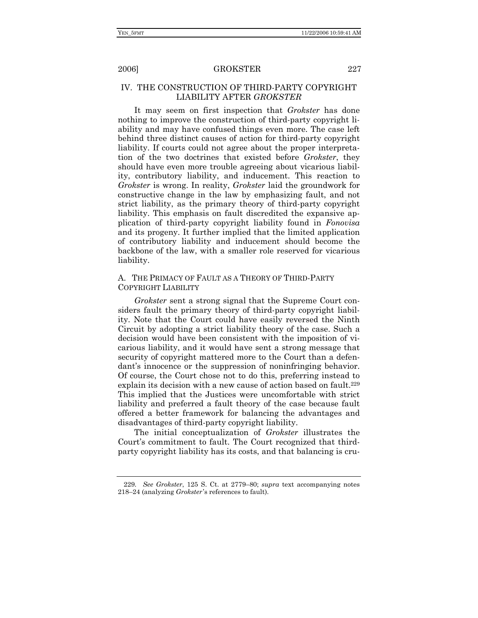### IV. THE CONSTRUCTION OF THIRD-PARTY COPYRIGHT LIABILITY AFTER *GROKSTER*

It may seem on first inspection that *Grokster* has done nothing to improve the construction of third-party copyright liability and may have confused things even more. The case left behind three distinct causes of action for third-party copyright liability. If courts could not agree about the proper interpretation of the two doctrines that existed before *Grokster*, they should have even more trouble agreeing about vicarious liability, contributory liability, and inducement. This reaction to *Grokster* is wrong. In reality, *Grokster* laid the groundwork for constructive change in the law by emphasizing fault, and not strict liability, as the primary theory of third-party copyright liability. This emphasis on fault discredited the expansive application of third-party copyright liability found in *Fonovisa* and its progeny. It further implied that the limited application of contributory liability and inducement should become the backbone of the law, with a smaller role reserved for vicarious liability.

### A. THE PRIMACY OF FAULT AS A THEORY OF THIRD-PARTY COPYRIGHT LIABILITY

*Grokster* sent a strong signal that the Supreme Court considers fault the primary theory of third-party copyright liability. Note that the Court could have easily reversed the Ninth Circuit by adopting a strict liability theory of the case. Such a decision would have been consistent with the imposition of vicarious liability, and it would have sent a strong message that security of copyright mattered more to the Court than a defendant's innocence or the suppression of noninfringing behavior. Of course, the Court chose not to do this, preferring instead to explain its decision with a new cause of action based on fault.<sup>229</sup> This implied that the Justices were uncomfortable with strict liability and preferred a fault theory of the case because fault offered a better framework for balancing the advantages and disadvantages of third-party copyright liability.

The initial conceptualization of *Grokster* illustrates the Court's commitment to fault. The Court recognized that thirdparty copyright liability has its costs, and that balancing is cru-

<sup>229</sup>*. See Grokster*, 125 S. Ct. at 2779–80; *supra* text accompanying notes 218–24 (analyzing *Grokster* 's references to fault).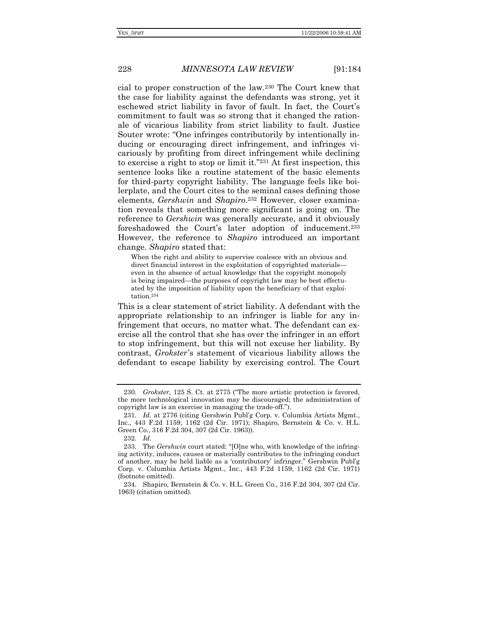cial to proper construction of the law.230 The Court knew that the case for liability against the defendants was strong, yet it eschewed strict liability in favor of fault. In fact, the Court's commitment to fault was so strong that it changed the rationale of vicarious liability from strict liability to fault. Justice Souter wrote: "One infringes contributorily by intentionally inducing or encouraging direct infringement, and infringes vicariously by profiting from direct infringement while declining to exercise a right to stop or limit it."231 At first inspection, this sentence looks like a routine statement of the basic elements for third-party copyright liability. The language feels like boilerplate, and the Court cites to the seminal cases defining those elements, *Gershwin* and *Shapiro*.232 However, closer examination reveals that something more significant is going on. The reference to *Gershwin* was generally accurate, and it obviously foreshadowed the Court's later adoption of inducement.233 However, the reference to *Shapiro* introduced an important change. *Shapiro* stated that:

When the right and ability to supervise coalesce with an obvious and direct financial interest in the exploitation of copyrighted materials even in the absence of actual knowledge that the copyright monopoly is being impaired—the purposes of copyright law may be best effectuated by the imposition of liability upon the beneficiary of that exploitation.234

This is a clear statement of strict liability. A defendant with the appropriate relationship to an infringer is liable for any infringement that occurs, no matter what. The defendant can exercise all the control that she has over the infringer in an effort to stop infringement, but this will not excuse her liability. By contrast, *Grokster*'s statement of vicarious liability allows the defendant to escape liability by exercising control. The Court

 <sup>230.</sup> *Grokster*, 125 S. Ct. at 2775 ("The more artistic protection is favored, the more technological innovation may be discouraged; the administration of copyright law is an exercise in managing the trade-off.").

<sup>231</sup>*. Id.* at 2776 (citing Gershwin Publ'g Corp. v. Columbia Artists Mgmt., Inc., 443 F.2d 1159, 1162 (2d Cir. 1971); Shapiro, Bernstein & Co. v. H.L. Green Co., 316 F.2d 304, 307 (2d Cir. 1963)).

<sup>232</sup>*. Id.*

<sup>233</sup>*.* The *Gershwin* court stated: "[O]ne who, with knowledge of the infringing activity, induces, causes or materially contributes to the infringing conduct of another, may be held liable as a 'contributory' infringer." Gershwin Publ'g Corp. v. Columbia Artists Mgmt., Inc., 443 F.2d 1159, 1162 (2d Cir. 1971) (footnote omitted).

<sup>234</sup>*.* Shapiro, Bernstein & Co. v. H.L. Green Co., 316 F.2d 304, 307 (2d Cir. 1963) (citation omitted).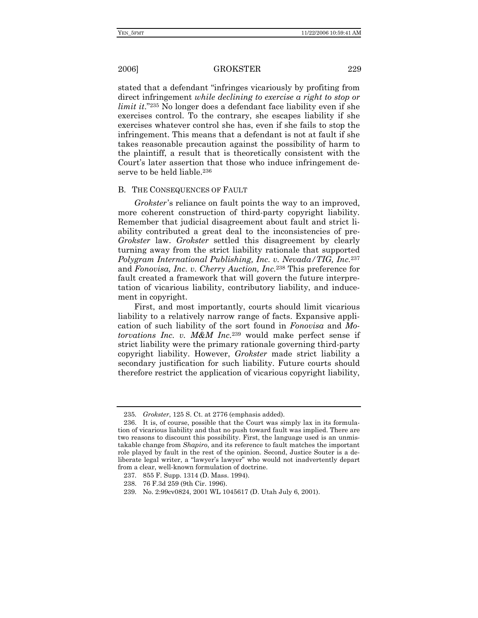stated that a defendant "infringes vicariously by profiting from direct infringement *while declining to exercise a right to stop or limit it.*"235 No longer does a defendant face liability even if she exercises control. To the contrary, she escapes liability if she exercises whatever control she has, even if she fails to stop the infringement. This means that a defendant is not at fault if she takes reasonable precaution against the possibility of harm to the plaintiff, a result that is theoretically consistent with the Court's later assertion that those who induce infringement deserve to be held liable.236

### B. THE CONSEQUENCES OF FAULT

*Grokster*'s reliance on fault points the way to an improved, more coherent construction of third-party copyright liability. Remember that judicial disagreement about fault and strict liability contributed a great deal to the inconsistencies of pre-*Grokster* law. *Grokster* settled this disagreement by clearly turning away from the strict liability rationale that supported *Polygram International Publishing, Inc. v. Nevada/TIG, Inc.*<sup>237</sup> and *Fonovisa, Inc. v. Cherry Auction, Inc.*238 This preference for fault created a framework that will govern the future interpretation of vicarious liability, contributory liability, and inducement in copyright.

First, and most importantly, courts should limit vicarious liability to a relatively narrow range of facts. Expansive application of such liability of the sort found in *Fonovisa* and *Motorvations Inc. v. M&M Inc.*239 would make perfect sense if strict liability were the primary rationale governing third-party copyright liability. However, *Grokster* made strict liability a secondary justification for such liability. Future courts should therefore restrict the application of vicarious copyright liability,

<sup>235</sup>*. Grokster*, 125 S. Ct. at 2776 (emphasis added).

 <sup>236.</sup> It is, of course, possible that the Court was simply lax in its formulation of vicarious liability and that no push toward fault was implied. There are two reasons to discount this possibility. First, the language used is an unmistakable change from *Shapiro*, and its reference to fault matches the important role played by fault in the rest of the opinion. Second, Justice Souter is a deliberate legal writer, a "lawyer's lawyer" who would not inadvertently depart from a clear, well-known formulation of doctrine.

 <sup>237. 855</sup> F. Supp. 1314 (D. Mass. 1994).

 <sup>238. 76</sup> F.3d 259 (9th Cir. 1996).

 <sup>239.</sup> No. 2:99cv0824, 2001 WL 1045617 (D. Utah July 6, 2001).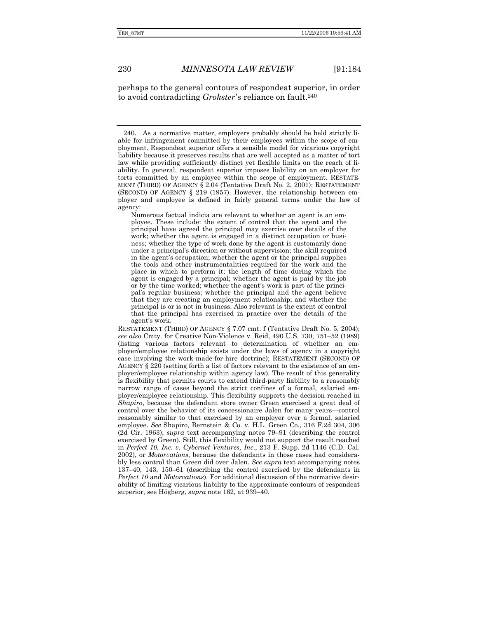perhaps to the general contours of respondeat superior, in order to avoid contradicting *Grokster*'s reliance on fault.240

Numerous factual indicia are relevant to whether an agent is an employee. These include: the extent of control that the agent and the principal have agreed the principal may exercise over details of the work; whether the agent is engaged in a distinct occupation or business; whether the type of work done by the agent is customarily done under a principal's direction or without supervision; the skill required in the agent's occupation; whether the agent or the principal supplies the tools and other instrumentalities required for the work and the place in which to perform it; the length of time during which the agent is engaged by a principal; whether the agent is paid by the job or by the time worked; whether the agent's work is part of the principal's regular business; whether the principal and the agent believe that they are creating an employment relationship; and whether the principal is or is not in business. Also relevant is the extent of control that the principal has exercised in practice over the details of the agent's work.

RESTATEMENT (THIRD) OF AGENCY § 7.07 cmt. f (Tentative Draft No. 5, 2004); *see also* Cmty. for Creative Non-Violence v. Reid, 490 U.S. 730, 751–52 (1989) (listing various factors relevant to determination of whether an employer/employee relationship exists under the laws of agency in a copyright case involving the work-made-for-hire doctrine); RESTATEMENT (SECOND) OF AGENCY § 220 (setting forth a list of factors relevant to the existence of an employer/employee relationship within agency law). The result of this generality is flexibility that permits courts to extend third-party liability to a reasonably narrow range of cases beyond the strict confines of a formal, salaried employer/employee relationship. This flexibility supports the decision reached in *Shapiro*, because the defendant store owner Green exercised a great deal of control over the behavior of its concessionaire Jalen for many years—control reasonably similar to that exercised by an employer over a formal, salaried employee. *See* Shapiro, Bernstein & Co. v. H.L. Green Co., 316 F.2d 304, 306 (2d Cir. 1963); *supra* text accompanying notes 79–91 (describing the control exercised by Green). Still, this flexibility would not support the result reached in *Perfect 10, Inc. v. Cybernet Ventures, Inc.*, 213 F. Supp. 2d 1146 (C.D. Cal. 2002), or *Motorvations*, because the defendants in those cases had considerably less control than Green did over Jalen. *See supra* text accompanying notes 137–40, 143, 150–61 (describing the control exercised by the defendants in *Perfect 10* and *Motorvations*). For additional discussion of the normative desirability of limiting vicarious liability to the approximate contours of respondeat superior, see Högberg, *supra* note 162, at 939–40.

 <sup>240.</sup> As a normative matter, employers probably should be held strictly liable for infringement committed by their employees within the scope of employment. Respondeat superior offers a sensible model for vicarious copyright liability because it preserves results that are well accepted as a matter of tort law while providing sufficiently distinct yet flexible limits on the reach of liability. In general, respondeat superior imposes liability on an employer for torts committed by an employee within the scope of employment. RESTATE-MENT (THIRD) OF AGENCY § 2.04 (Tentative Draft No. 2, 2001); RESTATEMENT (SECOND) OF AGENCY § 219 (1957). However, the relationship between employer and employee is defined in fairly general terms under the law of agency: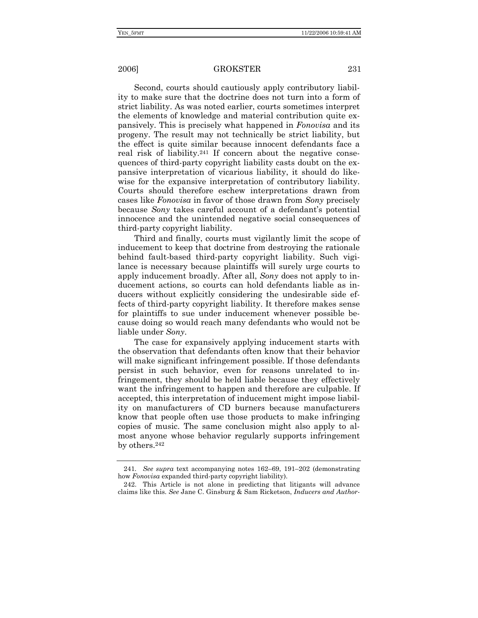Second, courts should cautiously apply contributory liability to make sure that the doctrine does not turn into a form of strict liability. As was noted earlier, courts sometimes interpret the elements of knowledge and material contribution quite expansively. This is precisely what happened in *Fonovisa* and its progeny. The result may not technically be strict liability, but the effect is quite similar because innocent defendants face a real risk of liability.241 If concern about the negative consequences of third-party copyright liability casts doubt on the expansive interpretation of vicarious liability, it should do likewise for the expansive interpretation of contributory liability. Courts should therefore eschew interpretations drawn from cases like *Fonovisa* in favor of those drawn from *Sony* precisely because *Sony* takes careful account of a defendant's potential innocence and the unintended negative social consequences of third-party copyright liability.

Third and finally, courts must vigilantly limit the scope of inducement to keep that doctrine from destroying the rationale behind fault-based third-party copyright liability. Such vigilance is necessary because plaintiffs will surely urge courts to apply inducement broadly. After all, *Sony* does not apply to inducement actions, so courts can hold defendants liable as inducers without explicitly considering the undesirable side effects of third-party copyright liability. It therefore makes sense for plaintiffs to sue under inducement whenever possible because doing so would reach many defendants who would not be liable under *Sony*.

The case for expansively applying inducement starts with the observation that defendants often know that their behavior will make significant infringement possible. If those defendants persist in such behavior, even for reasons unrelated to infringement, they should be held liable because they effectively want the infringement to happen and therefore are culpable. If accepted, this interpretation of inducement might impose liability on manufacturers of CD burners because manufacturers know that people often use those products to make infringing copies of music. The same conclusion might also apply to almost anyone whose behavior regularly supports infringement by others.242

<sup>241</sup>*. See supra* text accompanying notes 162–69, 191–202 (demonstrating how *Fonovisa* expanded third-party copyright liability).

 <sup>242.</sup> This Article is not alone in predicting that litigants will advance claims like this. *See* Jane C. Ginsburg & Sam Ricketson, *Inducers and Author-*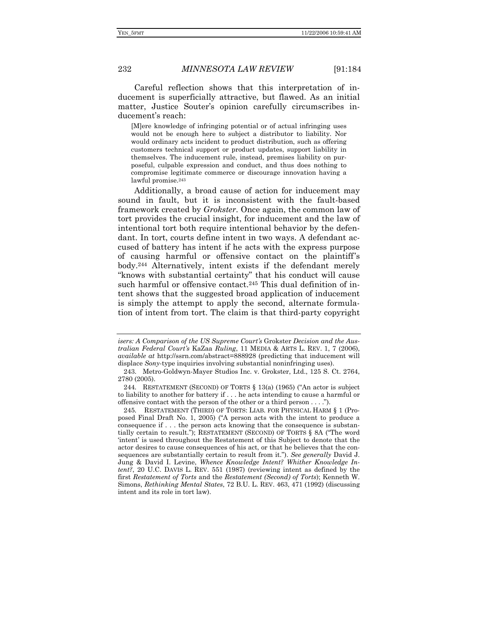Careful reflection shows that this interpretation of inducement is superficially attractive, but flawed. As an initial matter, Justice Souter's opinion carefully circumscribes inducement's reach:

[M]ere knowledge of infringing potential or of actual infringing uses would not be enough here to subject a distributor to liability. Nor would ordinary acts incident to product distribution, such as offering customers technical support or product updates, support liability in themselves. The inducement rule, instead, premises liability on purposeful, culpable expression and conduct, and thus does nothing to compromise legitimate commerce or discourage innovation having a lawful promise.<sup>243</sup>

Additionally, a broad cause of action for inducement may sound in fault, but it is inconsistent with the fault-based framework created by *Grokster*. Once again, the common law of tort provides the crucial insight, for inducement and the law of intentional tort both require intentional behavior by the defendant. In tort, courts define intent in two ways. A defendant accused of battery has intent if he acts with the express purpose of causing harmful or offensive contact on the plaintiff's body.244 Alternatively, intent exists if the defendant merely "knows with substantial certainty" that his conduct will cause such harmful or offensive contact.<sup>245</sup> This dual definition of intent shows that the suggested broad application of inducement is simply the attempt to apply the second, alternate formulation of intent from tort. The claim is that third-party copyright

*isers: A Comparison of the US Supreme Court's* Grokster *Decision and the Australian Federal Court's* KaZaa *Ruling*, 11 MEDIA & ARTS L. REV. 1, 7 (2006), *available at* http://ssrn.com/abstract=888928 (predicting that inducement will displace *Sony*-type inquiries involving substantial noninfringing uses).

 <sup>243.</sup> Metro-Goldwyn-Mayer Studios Inc. v. Grokster, Ltd., 125 S. Ct. 2764, 2780 (2005).

<sup>244</sup>*.* RESTATEMENT (SECOND) OF TORTS § 13(a) (1965) ("An actor is subject to liability to another for battery if . . . he acts intending to cause a harmful or offensive contact with the person of the other or a third person . . . .").

<sup>245</sup>*.* RESTATEMENT (THIRD) OF TORTS: LIAB. FOR PHYSICAL HARM § 1 (Proposed Final Draft No. 1, 2005) ("A person acts with the intent to produce a consequence if . . . the person acts knowing that the consequence is substantially certain to result."); RESTATEMENT (SECOND) OF TORTS § 8A ("The word 'intent' is used throughout the Restatement of this Subject to denote that the actor desires to cause consequences of his act, or that he believes that the consequences are substantially certain to result from it."). *See generally* David J. Jung & David I. Levine, *Whence Knowledge Intent? Whither Knowledge Intent?*, 20 U.C. DAVIS L. REV. 551 (1987) (reviewing intent as defined by the first *Restatement of Torts* and the *Restatement (Second) of Torts*); Kenneth W. Simons, *Rethinking Mental States*, 72 B.U. L. REV. 463, 471 (1992) (discussing intent and its role in tort law).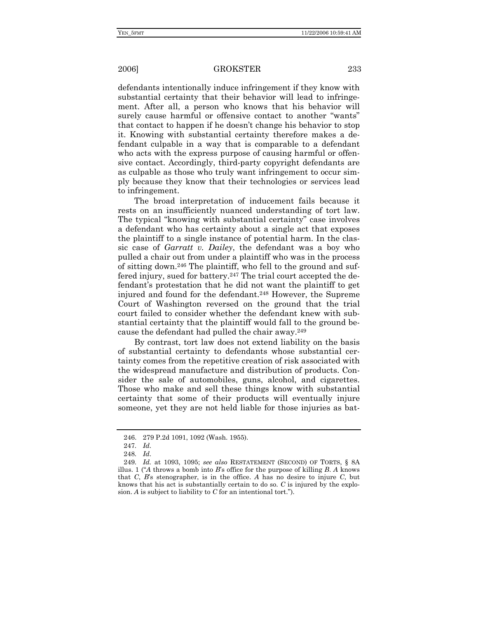defendants intentionally induce infringement if they know with substantial certainty that their behavior will lead to infringement. After all, a person who knows that his behavior will surely cause harmful or offensive contact to another "wants" that contact to happen if he doesn't change his behavior to stop it. Knowing with substantial certainty therefore makes a defendant culpable in a way that is comparable to a defendant who acts with the express purpose of causing harmful or offensive contact. Accordingly, third-party copyright defendants are as culpable as those who truly want infringement to occur simply because they know that their technologies or services lead to infringement.

The broad interpretation of inducement fails because it rests on an insufficiently nuanced understanding of tort law. The typical "knowing with substantial certainty" case involves a defendant who has certainty about a single act that exposes the plaintiff to a single instance of potential harm. In the classic case of *Garratt v. Dailey*, the defendant was a boy who pulled a chair out from under a plaintiff who was in the process of sitting down.246 The plaintiff, who fell to the ground and suffered injury, sued for battery.247 The trial court accepted the defendant's protestation that he did not want the plaintiff to get injured and found for the defendant.248 However, the Supreme Court of Washington reversed on the ground that the trial court failed to consider whether the defendant knew with substantial certainty that the plaintiff would fall to the ground because the defendant had pulled the chair away.249

By contrast, tort law does not extend liability on the basis of substantial certainty to defendants whose substantial certainty comes from the repetitive creation of risk associated with the widespread manufacture and distribution of products. Consider the sale of automobiles, guns, alcohol, and cigarettes. Those who make and sell these things know with substantial certainty that some of their products will eventually injure someone, yet they are not held liable for those injuries as bat-

 <sup>246. 279</sup> P.2d 1091, 1092 (Wash. 1955).

<sup>247</sup>*. Id.*

<sup>248</sup>*. Id.*

<sup>249</sup>*. Id.* at 1093, 1095; *see also* RESTATEMENT (SECOND) OF TORTS, § 8A illus. 1 ("*A* throws a bomb into *B*'s office for the purpose of killing *B*. *A* knows that *C*, *B*'s stenographer, is in the office. *A* has no desire to injure *C*, but knows that his act is substantially certain to do so. *C* is injured by the explosion. *A* is subject to liability to *C* for an intentional tort.").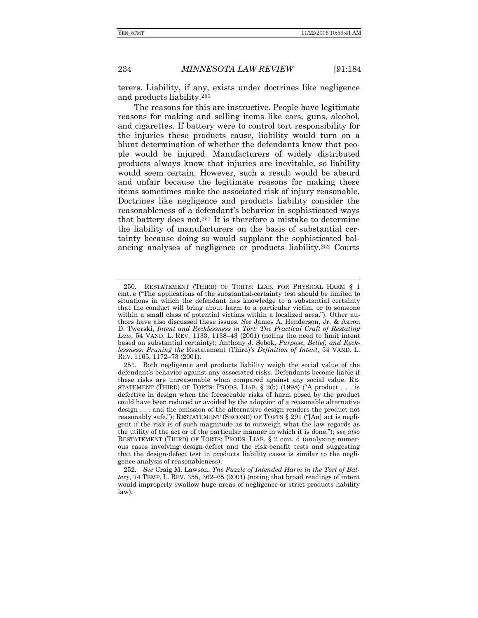terers. Liability, if any, exists under doctrines like negligence and products liability.250

The reasons for this are instructive. People have legitimate reasons for making and selling items like cars, guns, alcohol, and cigarettes. If battery were to control tort responsibility for the injuries these products cause, liability would turn on a blunt determination of whether the defendants knew that people would be injured. Manufacturers of widely distributed products always know that injuries are inevitable, so liability would seem certain. However, such a result would be absurd and unfair because the legitimate reasons for making these items sometimes make the associated risk of injury reasonable. Doctrines like negligence and products liability consider the reasonableness of a defendant's behavior in sophisticated ways that battery does not.251 It is therefore a mistake to determine the liability of manufacturers on the basis of substantial certainty because doing so would supplant the sophisticated balancing analyses of negligence or products liability.252 Courts

 <sup>250.</sup> RESTATEMENT (THIRD) OF TORTS: LIAB. FOR PHYSICAL HARM § 1 cmt. e ("The applications of the substantial-certainty test should be limited to situations in which the defendant has knowledge to a substantial certainty that the conduct will bring about harm to a particular victim, or to someone within a small class of potential victims within a localized area."). Other authors have also discussed these issues. *See* James A. Henderson, Jr. & Aaron D. Twerski, *Intent and Recklessness in Tort: The Practical Craft of Restating Law,* 54 VAND. L. REV. 1133, 1138–43 (2001) (noting the need to limit intent based on substantial certainty); Anthony J. Sebok, *Purpose, Belief, and Recklessness: Pruning the* Restatement (Third)*'s Definition of Intent*, 54 VAND. L. REV. 1165, 1172–73 (2001).

 <sup>251.</sup> Both negligence and products liability weigh the social value of the defendant's behavior against any associated risks. Defendants become liable if these risks are unreasonable when compared against any social value. RE-STATEMENT (THIRD) OF TORTS: PRODS. LIAB.  $\S$  2(b) (1998) ("A product . . . is defective in design when the foreseeable risks of harm posed by the product could have been reduced or avoided by the adoption of a reasonable alternative design . . . and the omission of the alternative design renders the product not reasonably safe."); RESTATEMENT (SECOND) OF TORTS § 291 ("[An] act is negligent if the risk is of such magnitude as to outweigh what the law regards as the utility of the act or of the particular manner in which it is done."); *see also*  RESTATEMENT (THIRD) OF TORTS: PRODS. LIAB. § 2 cmt. d (analyzing numerous cases involving design-defect and the risk-benefit tests and suggesting that the design-defect test in products liability cases is similar to the negligence analysis of reasonableness).

<sup>252</sup>*. See* Craig M. Lawson, *The Puzzle of Intended Harm in the Tort of Battery*, 74 TEMP. L. REV. 355, 362–65 (2001) (noting that broad readings of intent would improperly swallow huge areas of negligence or strict products liability law).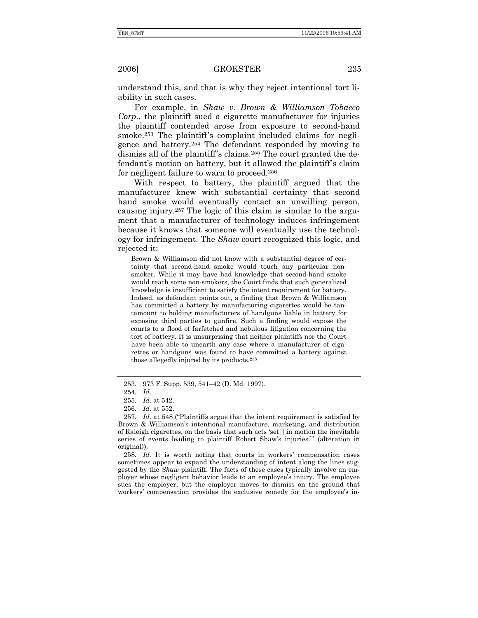understand this, and that is why they reject intentional tort liability in such cases.

For example, in *Shaw v. Brown & Williamson Tobacco Corp.*, the plaintiff sued a cigarette manufacturer for injuries the plaintiff contended arose from exposure to second-hand smoke.<sup>253</sup> The plaintiff's complaint included claims for negligence and battery.254 The defendant responded by moving to dismiss all of the plaintiff's claims.255 The court granted the defendant's motion on battery, but it allowed the plaintiff's claim for negligent failure to warn to proceed.256

With respect to battery, the plaintiff argued that the manufacturer knew with substantial certainty that second hand smoke would eventually contact an unwilling person, causing injury.257 The logic of this claim is similar to the argument that a manufacturer of technology induces infringement because it knows that someone will eventually use the technology for infringement. The *Shaw* court recognized this logic, and rejected it:

Brown & Williamson did not know with a substantial degree of certainty that second-hand smoke would touch any particular nonsmoker. While it may have had knowledge that second-hand smoke would reach some non-smokers, the Court finds that such generalized knowledge is insufficient to satisfy the intent requirement for battery. Indeed, as defendant points out, a finding that Brown & Williamson has committed a battery by manufacturing cigarettes would be tantamount to holding manufacturers of handguns liable in battery for exposing third parties to gunfire. Such a finding would expose the courts to a flood of farfetched and nebulous litigation concerning the tort of battery. It is unsurprising that neither plaintiffs nor the Court have been able to unearth any case where a manufacturer of cigarettes or handguns was found to have committed a battery against those allegedly injured by its products.258

258*. Id.* It is worth noting that courts in workers' compensation cases sometimes appear to expand the understanding of intent along the lines suggested by the *Shaw* plaintiff. The facts of these cases typically involve an employer whose negligent behavior leads to an employee's injury. The employee sues the employer, but the employer moves to dismiss on the ground that workers' compensation provides the exclusive remedy for the employee's in-

 <sup>253. 973</sup> F. Supp. 539, 541–42 (D. Md. 1997).

<sup>254</sup>*. Id.* 

<sup>255</sup>*. Id.* at 542.

<sup>256</sup>*. Id.* at 552.

<sup>257</sup>*. Id.* at 548 ("Plaintiffs argue that the intent requirement is satisfied by Brown & Williamson's intentional manufacture, marketing, and distribution of Raleigh cigarettes, on the basis that such acts 'set[] in motion the inevitable series of events leading to plaintiff Robert Shaw's injuries.'" (alteration in original)).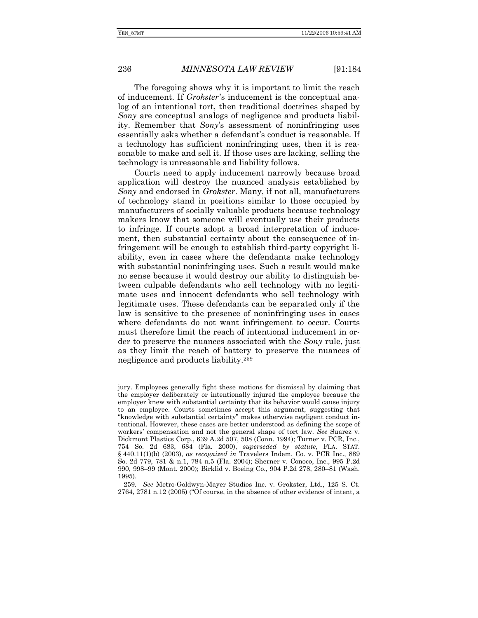The foregoing shows why it is important to limit the reach of inducement. If *Grokster*'s inducement is the conceptual analog of an intentional tort, then traditional doctrines shaped by *Sony* are conceptual analogs of negligence and products liability. Remember that *Sony*'s assessment of noninfringing uses essentially asks whether a defendant's conduct is reasonable. If a technology has sufficient noninfringing uses, then it is reasonable to make and sell it. If those uses are lacking, selling the technology is unreasonable and liability follows.

Courts need to apply inducement narrowly because broad application will destroy the nuanced analysis established by *Sony* and endorsed in *Grokster*. Many, if not all, manufacturers of technology stand in positions similar to those occupied by manufacturers of socially valuable products because technology makers know that someone will eventually use their products to infringe. If courts adopt a broad interpretation of inducement, then substantial certainty about the consequence of infringement will be enough to establish third-party copyright liability, even in cases where the defendants make technology with substantial noninfringing uses. Such a result would make no sense because it would destroy our ability to distinguish between culpable defendants who sell technology with no legitimate uses and innocent defendants who sell technology with legitimate uses. These defendants can be separated only if the law is sensitive to the presence of noninfringing uses in cases where defendants do not want infringement to occur. Courts must therefore limit the reach of intentional inducement in order to preserve the nuances associated with the *Sony* rule, just as they limit the reach of battery to preserve the nuances of negligence and products liability.259

jury. Employees generally fight these motions for dismissal by claiming that the employer deliberately or intentionally injured the employee because the employer knew with substantial certainty that its behavior would cause injury to an employee. Courts sometimes accept this argument, suggesting that "knowledge with substantial certainty" makes otherwise negligent conduct intentional. However, these cases are better understood as defining the scope of workers' compensation and not the general shape of tort law. *See* Suarez v. Dickmont Plastics Corp., 639 A.2d 507, 508 (Conn. 1994); Turner v. PCR, Inc., 754 So. 2d 683, 684 (Fla. 2000), *superseded by statute*, FLA. STAT. § 440.11(1)(b) (2003), *as recognized in* Travelers Indem. Co. v. PCR Inc., 889 So. 2d 779, 781 & n.1, 784 n.5 (Fla. 2004); Sherner v. Conoco, Inc., 995 P.2d 990, 998–99 (Mont. 2000); Birklid v. Boeing Co., 904 P.2d 278, 280–81 (Wash. 1995).

<sup>259</sup>*. See* Metro-Goldwyn-Mayer Studios Inc. v. Grokster, Ltd., 125 S. Ct. 2764, 2781 n.12 (2005) ("Of course, in the absence of other evidence of intent, a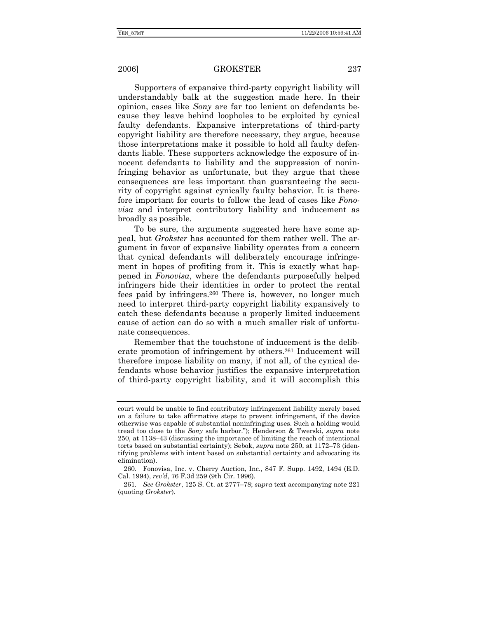Supporters of expansive third-party copyright liability will understandably balk at the suggestion made here. In their opinion, cases like *Sony* are far too lenient on defendants because they leave behind loopholes to be exploited by cynical faulty defendants. Expansive interpretations of third-party copyright liability are therefore necessary, they argue, because those interpretations make it possible to hold all faulty defendants liable. These supporters acknowledge the exposure of innocent defendants to liability and the suppression of noninfringing behavior as unfortunate, but they argue that these consequences are less important than guaranteeing the security of copyright against cynically faulty behavior. It is therefore important for courts to follow the lead of cases like *Fonovisa* and interpret contributory liability and inducement as broadly as possible.

To be sure, the arguments suggested here have some appeal, but *Grokster* has accounted for them rather well. The argument in favor of expansive liability operates from a concern that cynical defendants will deliberately encourage infringement in hopes of profiting from it. This is exactly what happened in *Fonovisa*, where the defendants purposefully helped infringers hide their identities in order to protect the rental fees paid by infringers.260 There is, however, no longer much need to interpret third-party copyright liability expansively to catch these defendants because a properly limited inducement cause of action can do so with a much smaller risk of unfortunate consequences.

Remember that the touchstone of inducement is the deliberate promotion of infringement by others.261 Inducement will therefore impose liability on many, if not all, of the cynical defendants whose behavior justifies the expansive interpretation of third-party copyright liability, and it will accomplish this

court would be unable to find contributory infringement liability merely based on a failure to take affirmative steps to prevent infringement, if the device otherwise was capable of substantial noninfringing uses. Such a holding would tread too close to the *Sony* safe harbor."); Henderson & Twerski, *supra* note 250, at 1138–43 (discussing the importance of limiting the reach of intentional torts based on substantial certainty); Sebok, *supra* note 250, at 1172–73 (identifying problems with intent based on substantial certainty and advocating its elimination).

<sup>260</sup>*.* Fonovisa, Inc. v. Cherry Auction, Inc., 847 F. Supp. 1492, 1494 (E.D. Cal. 1994), *rev'd*, 76 F.3d 259 (9th Cir. 1996).

<sup>261</sup>*. See Grokster*, 125 S. Ct. at 2777–78; *supra* text accompanying note 221 (quoting *Grokster*).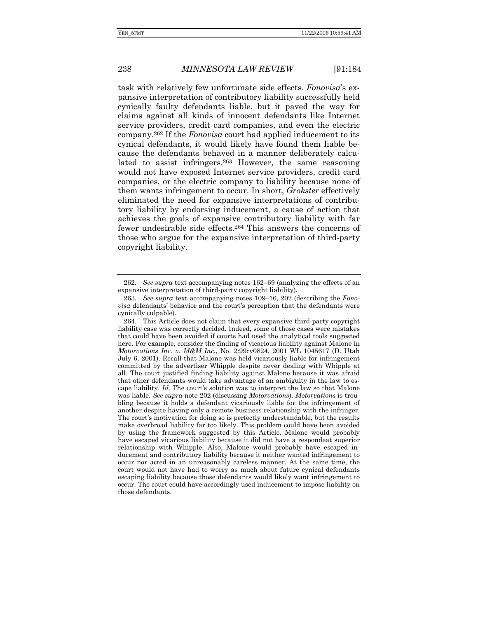task with relatively few unfortunate side effects. *Fonovisa*'s expansive interpretation of contributory liability successfully held cynically faulty defendants liable, but it paved the way for claims against all kinds of innocent defendants like Internet service providers, credit card companies, and even the electric company.262 If the *Fonovisa* court had applied inducement to its cynical defendants, it would likely have found them liable because the defendants behaved in a manner deliberately calculated to assist infringers.263 However, the same reasoning would not have exposed Internet service providers, credit card companies, or the electric company to liability because none of them wants infringement to occur. In short, *Grokster* effectively eliminated the need for expansive interpretations of contributory liability by endorsing inducement, a cause of action that achieves the goals of expansive contributory liability with far fewer undesirable side effects.264 This answers the concerns of those who argue for the expansive interpretation of third-party copyright liability.

<sup>262</sup>*. See supra* text accompanying notes 162–69 (analyzing the effects of an expansive interpretation of third-party copyright liability).

<sup>263</sup>*. See supra* text accompanying notes 109–16, 202 (describing the *Fonovisa* defendants' behavior and the court's perception that the defendants were cynically culpable).

 <sup>264.</sup> This Article does not claim that every expansive third-party copyright liability case was correctly decided. Indeed, some of those cases were mistakes that could have been avoided if courts had used the analytical tools suggested here. For example, consider the finding of vicarious liability against Malone in *Motorvations Inc. v. M&M Inc.*, No. 2:99cv0824, 2001 WL 1045617 (D. Utah July 6, 2001). Recall that Malone was held vicariously liable for infringement committed by the advertiser Whipple despite never dealing with Whipple at all. The court justified finding liability against Malone because it was afraid that other defendants would take advantage of an ambiguity in the law to escape liability. *Id.* The court's solution was to interpret the law so that Malone was liable. *See supra* note 202 (discussing *Motorvations*). *Motorvations* is troubling because it holds a defendant vicariously liable for the infringement of another despite having only a remote business relationship with the infringer. The court's motivation for doing so is perfectly understandable, but the results make overbroad liability far too likely. This problem could have been avoided by using the framework suggested by this Article. Malone would probably have escaped vicarious liability because it did not have a respondeat superior relationship with Whipple. Also, Malone would probably have escaped inducement and contributory liability because it neither wanted infringement to occur nor acted in an unreasonably careless manner. At the same time, the court would not have had to worry as much about future cynical defendants escaping liability because those defendants would likely want infringement to occur. The court could have accordingly used inducement to impose liability on those defendants.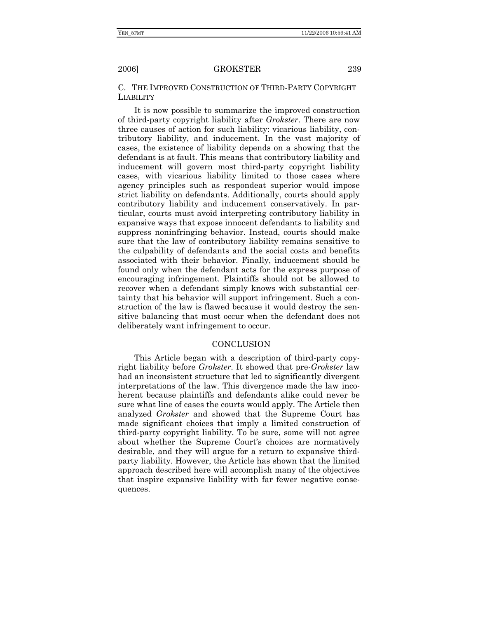C. THE IMPROVED CONSTRUCTION OF THIRD-PARTY COPYRIGHT LIABILITY

It is now possible to summarize the improved construction of third-party copyright liability after *Grokster*. There are now three causes of action for such liability: vicarious liability, contributory liability, and inducement. In the vast majority of cases, the existence of liability depends on a showing that the defendant is at fault. This means that contributory liability and inducement will govern most third-party copyright liability cases, with vicarious liability limited to those cases where agency principles such as respondeat superior would impose strict liability on defendants. Additionally, courts should apply contributory liability and inducement conservatively. In particular, courts must avoid interpreting contributory liability in expansive ways that expose innocent defendants to liability and suppress noninfringing behavior. Instead, courts should make sure that the law of contributory liability remains sensitive to the culpability of defendants and the social costs and benefits associated with their behavior. Finally, inducement should be found only when the defendant acts for the express purpose of encouraging infringement. Plaintiffs should not be allowed to recover when a defendant simply knows with substantial certainty that his behavior will support infringement. Such a construction of the law is flawed because it would destroy the sensitive balancing that must occur when the defendant does not deliberately want infringement to occur.

### **CONCLUSION**

This Article began with a description of third-party copyright liability before *Grokster*. It showed that pre-*Grokster* law had an inconsistent structure that led to significantly divergent interpretations of the law. This divergence made the law incoherent because plaintiffs and defendants alike could never be sure what line of cases the courts would apply. The Article then analyzed *Grokster* and showed that the Supreme Court has made significant choices that imply a limited construction of third-party copyright liability. To be sure, some will not agree about whether the Supreme Court's choices are normatively desirable, and they will argue for a return to expansive thirdparty liability. However, the Article has shown that the limited approach described here will accomplish many of the objectives that inspire expansive liability with far fewer negative consequences.